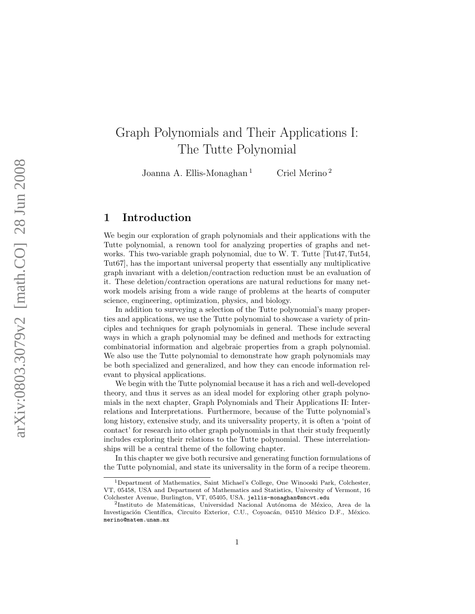# Graph Polynomials and Their Applications I: The Tutte Polynomial

Joanna A. Ellis-Monaghan <sup>1</sup> Criel Merino<sup>2</sup>

# 1 Introduction

We begin our exploration of graph polynomials and their applications with the Tutte polynomial, a renown tool for analyzing properties of graphs and networks. This two-variable graph polynomial, due to W. T. Tutte [Tut47, Tut54, Tut67], has the important universal property that essentially any multiplicative graph invariant with a deletion/contraction reduction must be an evaluation of it. These deletion/contraction operations are natural reductions for many network models arising from a wide range of problems at the hearts of computer science, engineering, optimization, physics, and biology.

In addition to surveying a selection of the Tutte polynomial's many properties and applications, we use the Tutte polynomial to showcase a variety of principles and techniques for graph polynomials in general. These include several ways in which a graph polynomial may be defined and methods for extracting combinatorial information and algebraic properties from a graph polynomial. We also use the Tutte polynomial to demonstrate how graph polynomials may be both specialized and generalized, and how they can encode information relevant to physical applications.

We begin with the Tutte polynomial because it has a rich and well-developed theory, and thus it serves as an ideal model for exploring other graph polynomials in the next chapter, Graph Polynomials and Their Applications II: Interrelations and Interpretations. Furthermore, because of the Tutte polynomial's long history, extensive study, and its universality property, it is often a 'point of contact' for research into other graph polynomials in that their study frequently includes exploring their relations to the Tutte polynomial. These interrelationships will be a central theme of the following chapter.

In this chapter we give both recursive and generating function formulations of the Tutte polynomial, and state its universality in the form of a recipe theorem.

<sup>1</sup>Department of Mathematics, Saint Michael's College, One Winooski Park, Colchester, VT, 05458, USA and Department of Mathematics and Statistics, University of Vermont, 16 Colchester Avenue, Burlington, VT, 05405, USA. jellis-monaghan@smcvt.edu <sup>2</sup>

<sup>&</sup>lt;sup>2</sup>Instituto de Matemáticas, Universidad Nacional Autónoma de México, Area de la Investigación Científica, Circuito Exterior, C.U., Coyoacán, 04510 México D.F., México. merino@matem.unam.mx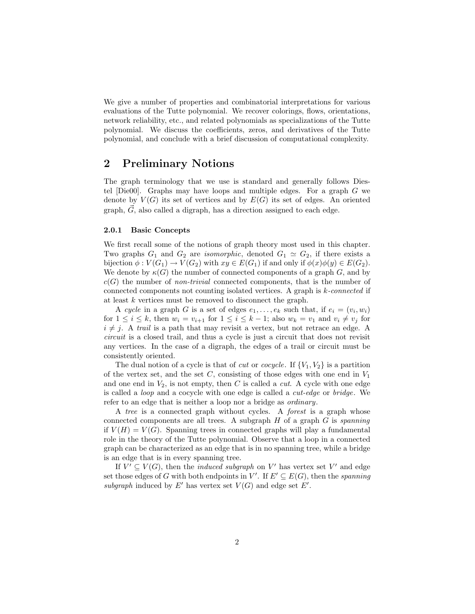We give a number of properties and combinatorial interpretations for various evaluations of the Tutte polynomial. We recover colorings, flows, orientations, network reliability, etc., and related polynomials as specializations of the Tutte polynomial. We discuss the coefficients, zeros, and derivatives of the Tutte polynomial, and conclude with a brief discussion of computational complexity.

# 2 Preliminary Notions

The graph terminology that we use is standard and generally follows Diestel [Die00]. Graphs may have loops and multiple edges. For a graph G we denote by  $V(G)$  its set of vertices and by  $E(G)$  its set of edges. An oriented graph,  $\vec{G}$ , also called a digraph, has a direction assigned to each edge.

#### 2.0.1 Basic Concepts

We first recall some of the notions of graph theory most used in this chapter. Two graphs  $G_1$  and  $G_2$  are *isomorphic*, denoted  $G_1 \simeq G_2$ , if there exists a bijection  $\phi: V(G_1) \to V(G_2)$  with  $xy \in E(G_1)$  if and only if  $\phi(x)\phi(y) \in E(G_2)$ . We denote by  $\kappa(G)$  the number of connected components of a graph G, and by  $c(G)$  the number of *non-trivial* connected components, that is the number of connected components not counting isolated vertices. A graph is  $k$ -connected if at least k vertices must be removed to disconnect the graph.

A cycle in a graph G is a set of edges  $e_1, \ldots, e_k$  such that, if  $e_i = (v_i, w_i)$ for  $1 \leq i \leq k$ , then  $w_i = v_{i+1}$  for  $1 \leq i \leq k-1$ ; also  $w_k = v_1$  and  $v_i \neq v_j$  for  $i \neq j$ . A trail is a path that may revisit a vertex, but not retrace an edge. A circuit is a closed trail, and thus a cycle is just a circuit that does not revisit any vertices. In the case of a digraph, the edges of a trail or circuit must be consistently oriented.

The dual notion of a cycle is that of *cut* or *cocycle*. If  $\{V_1, V_2\}$  is a partition of the vertex set, and the set  $C$ , consisting of those edges with one end in  $V_1$ and one end in  $V_2$ , is not empty, then C is called a *cut*. A cycle with one edge is called a loop and a cocycle with one edge is called a cut-edge or bridge. We refer to an edge that is neither a loop nor a bridge as ordinary.

A tree is a connected graph without cycles. A forest is a graph whose connected components are all trees. A subgraph  $H$  of a graph  $G$  is spanning if  $V(H) = V(G)$ . Spanning trees in connected graphs will play a fundamental role in the theory of the Tutte polynomial. Observe that a loop in a connected graph can be characterized as an edge that is in no spanning tree, while a bridge is an edge that is in every spanning tree.

If  $V' \subseteq V(G)$ , then the *induced subgraph* on V' has vertex set V' and edge set those edges of G with both endpoints in  $V'$ . If  $E' \subseteq E(G)$ , then the spanning subgraph induced by  $E'$  has vertex set  $V(G)$  and edge set  $E'$ .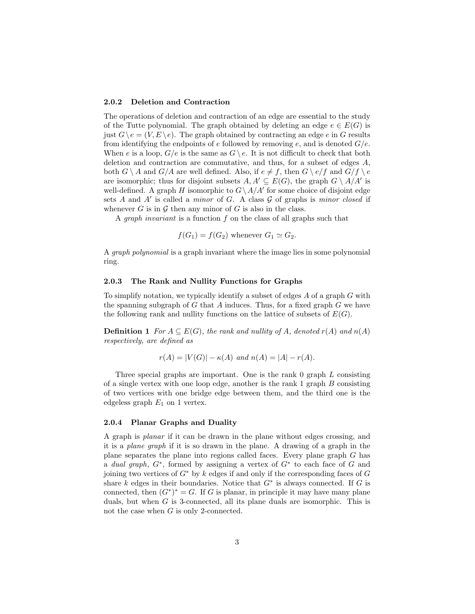#### 2.0.2 Deletion and Contraction

The operations of deletion and contraction of an edge are essential to the study of the Tutte polynomial. The graph obtained by deleting an edge  $e \in E(G)$  is just  $G \ (e = (V, E) \ e)$ . The graph obtained by contracting an edge e in G results from identifying the endpoints of  $e$  followed by removing  $e$ , and is denoted  $G/e$ . When e is a loop,  $G/e$  is the same as  $G \backslash e$ . It is not difficult to check that both deletion and contraction are commutative, and thus, for a subset of edges A, both  $G \setminus A$  and  $G/A$  are well defined. Also, if  $e \neq f$ , then  $G \setminus e/f$  and  $G/f \setminus e$ are isomorphic; thus for disjoint subsets  $A, A' \subseteq E(G)$ , the graph  $G \setminus A/A'$  is well-defined. A graph H isomorphic to  $G \setminus A/A'$  for some choice of disjoint edge sets  $A$  and  $A'$  is called a *minor* of  $G$ . A class  $G$  of graphs is *minor closed* if whenever G is in  $\mathcal G$  then any minor of G is also in the class.

A graph invariant is a function f on the class of all graphs such that

$$
f(G_1) = f(G_2)
$$
 whenever  $G_1 \simeq G_2$ .

A graph polynomial is a graph invariant where the image lies in some polynomial ring.

#### 2.0.3 The Rank and Nullity Functions for Graphs

To simplify notation, we typically identify a subset of edges A of a graph G with the spanning subgraph of  $G$  that  $A$  induces. Thus, for a fixed graph  $G$  we have the following rank and nullity functions on the lattice of subsets of  $E(G)$ .

**Definition 1** For  $A \subseteq E(G)$ , the rank and nullity of A, denoted  $r(A)$  and  $n(A)$ respectively, are defined as

$$
r(A) = |V(G)| - \kappa(A)
$$
 and  $n(A) = |A| - r(A)$ .

Three special graphs are important. One is the rank  $\theta$  graph  $L$  consisting of a single vertex with one loop edge, another is the rank  $1$  graph  $B$  consisting of two vertices with one bridge edge between them, and the third one is the edgeless graph  $E_1$  on 1 vertex.

#### 2.0.4 Planar Graphs and Duality

A graph is planar if it can be drawn in the plane without edges crossing, and it is a plane graph if it is so drawn in the plane. A drawing of a graph in the plane separates the plane into regions called faces. Every plane graph G has a dual graph,  $G^*$ , formed by assigning a vertex of  $G^*$  to each face of G and joining two vertices of  $G^*$  by k edges if and only if the corresponding faces of  $G$ share k edges in their boundaries. Notice that  $G^*$  is always connected. If G is connected, then  $(G^*)^* = G$ . If G is planar, in principle it may have many plane duals, but when G is 3-connected, all its plane duals are isomorphic. This is not the case when  $G$  is only 2-connected.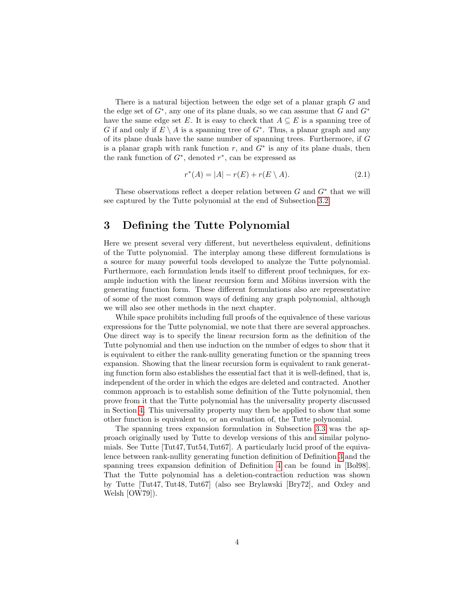There is a natural bijection between the edge set of a planar graph G and the edge set of  $G^*$ , any one of its plane duals, so we can assume that G and  $G^*$ have the same edge set E. It is easy to check that  $A \subseteq E$  is a spanning tree of G if and only if  $E \setminus A$  is a spanning tree of  $G^*$ . Thus, a planar graph and any of its plane duals have the same number of spanning trees. Furthermore, if G is a planar graph with rank function  $r$ , and  $G^*$  is any of its plane duals, then the rank function of  $G^*$ , denoted  $r^*$ , can be expressed as

<span id="page-3-0"></span>
$$
r^*(A) = |A| - r(E) + r(E \setminus A). \tag{2.1}
$$

These observations reflect a deeper relation between  $G$  and  $G^*$  that we will see captured by the Tutte polynomial at the end of Subsection [3.2.](#page-4-0)

# 3 Defining the Tutte Polynomial

Here we present several very different, but nevertheless equivalent, definitions of the Tutte polynomial. The interplay among these different formulations is a source for many powerful tools developed to analyze the Tutte polynomial. Furthermore, each formulation lends itself to different proof techniques, for example induction with the linear recursion form and Möbius inversion with the generating function form. These different formulations also are representative of some of the most common ways of defining any graph polynomial, although we will also see other methods in the next chapter.

While space prohibits including full proofs of the equivalence of these various expressions for the Tutte polynomial, we note that there are several approaches. One direct way is to specify the linear recursion form as the definition of the Tutte polynomial and then use induction on the number of edges to show that it is equivalent to either the rank-nullity generating function or the spanning trees expansion. Showing that the linear recursion form is equivalent to rank generating function form also establishes the essential fact that it is well-defined, that is, independent of the order in which the edges are deleted and contracted. Another common approach is to establish some definition of the Tutte polynomial, then prove from it that the Tutte polynomial has the universality property discussed in Section [4.](#page-6-0) This universality property may then be applied to show that some other function is equivalent to, or an evaluation of, the Tutte polynomial.

The spanning trees expansion formulation in Subsection [3.3](#page-5-0) was the approach originally used by Tutte to develop versions of this and similar polynomials. See Tutte [Tut47,Tut54,Tut67]. A particularly lucid proof of the equivalence between rank-nullity generating function definition of Definition [3](#page-5-1) and the spanning trees expansion definition of Definition [4](#page-6-1) can be found in [Bol98]. That the Tutte polynomial has a deletion-contraction reduction was shown by Tutte [Tut47, Tut48, Tut67] (also see Brylawski [Bry72], and Oxley and Welsh [OW79]).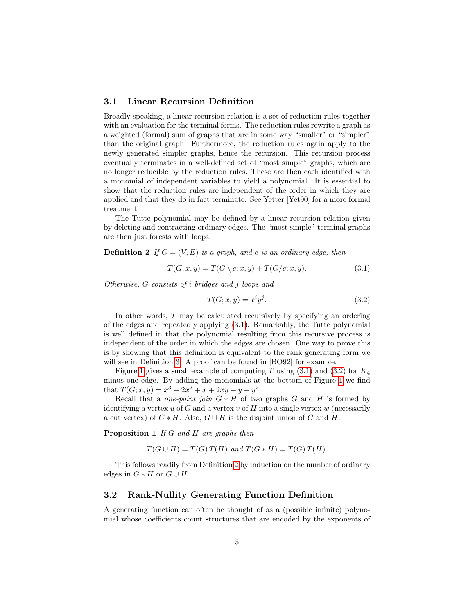#### 3.1 Linear Recursion Definition

Broadly speaking, a linear recursion relation is a set of reduction rules together with an evaluation for the terminal forms. The reduction rules rewrite a graph as a weighted (formal) sum of graphs that are in some way "smaller" or "simpler" than the original graph. Furthermore, the reduction rules again apply to the newly generated simpler graphs, hence the recursion. This recursion process eventually terminates in a well-defined set of "most simple" graphs, which are no longer reducible by the reduction rules. These are then each identified with a monomial of independent variables to yield a polynomial. It is essential to show that the reduction rules are independent of the order in which they are applied and that they do in fact terminate. See Yetter [Yet90] for a more formal treatment.

The Tutte polynomial may be defined by a linear recursion relation given by deleting and contracting ordinary edges. The "most simple" terminal graphs are then just forests with loops.

<span id="page-4-3"></span>**Definition 2** If  $G = (V, E)$  is a graph, and e is an ordinary edge, then

<span id="page-4-1"></span>
$$
T(G; x, y) = T(G \setminus e; x, y) + T(G/e; x, y). \tag{3.1}
$$

Otherwise, G consists of i bridges and j loops and

<span id="page-4-2"></span>
$$
T(G; x, y) = x^i y^j. \tag{3.2}
$$

In other words, T may be calculated recursively by specifying an ordering of the edges and repeatedly applying [\(3.1\)](#page-4-1). Remarkably, the Tutte polynomial is well defined in that the polynomial resulting from this recursive process is independent of the order in which the edges are chosen. One way to prove this is by showing that this definition is equivalent to the rank generating form we will see in Definition [3.](#page-5-1) A proof can be found in [BO92] for example.

Figure [1](#page-5-2) gives a small example of computing T using  $(3.1)$  and  $(3.2)$  for  $K_4$ minus one edge. By adding the monomials at the bottom of Figure [1](#page-5-2) we find that  $T(G; x, y) = x^3 + 2x^2 + x + 2xy + y + y^2$ .

Recall that a *one-point join*  $G * H$  of two graphs G and H is formed by identifying a vertex  $u$  of  $G$  and a vertex  $v$  of  $H$  into a single vertex  $w$  (necessarily a cut vertex) of  $G * H$ . Also,  $G \cup H$  is the disjoint union of G and H.

<span id="page-4-4"></span>Proposition 1 If G and H are graphs then

$$
T(G \cup H) = T(G) T(H) \text{ and } T(G * H) = T(G) T(H).
$$

This follows readily from Definition [2](#page-4-3) by induction on the number of ordinary edges in  $G * H$  or  $G \cup H$ .

#### <span id="page-4-0"></span>3.2 Rank-Nullity Generating Function Definition

A generating function can often be thought of as a (possible infinite) polynomial whose coefficients count structures that are encoded by the exponents of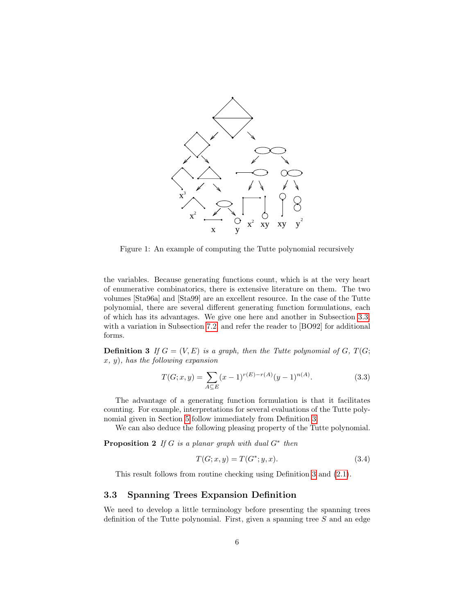

<span id="page-5-2"></span>Figure 1: An example of computing the Tutte polynomial recursively

the variables. Because generating functions count, which is at the very heart of enumerative combinatorics, there is extensive literature on them. The two volumes [Sta96a] and [Sta99] are an excellent resource. In the case of the Tutte polynomial, there are several different generating function formulations, each of which has its advantages. We give one here and another in Subsection [3.3,](#page-5-0) with a variation in Subsection [7.2,](#page-24-0) and refer the reader to [BO92] for additional forms.

<span id="page-5-1"></span>**Definition 3** If  $G = (V, E)$  is a graph, then the Tutte polynomial of G, T(G;  $x, y$ , has the following expansion

<span id="page-5-3"></span>
$$
T(G; x, y) = \sum_{A \subseteq E} (x - 1)^{r(E) - r(A)} (y - 1)^{n(A)}.
$$
\n(3.3)

The advantage of a generating function formulation is that it facilitates counting. For example, interpretations for several evaluations of the Tutte polynomial given in Section [5](#page-7-0) follow immediately from Definition [3.](#page-5-1)

We can also deduce the following pleasing property of the Tutte polynomial.

**Proposition 2** If G is a planar graph with dual  $G^*$  then

<span id="page-5-4"></span>
$$
T(G; x, y) = T(G^*; y, x).
$$
\n(3.4)

This result follows from routine checking using Definition [3](#page-5-1) and [\(2.1\)](#page-3-0).

## <span id="page-5-0"></span>3.3 Spanning Trees Expansion Definition

We need to develop a little terminology before presenting the spanning trees definition of the Tutte polynomial. First, given a spanning tree S and an edge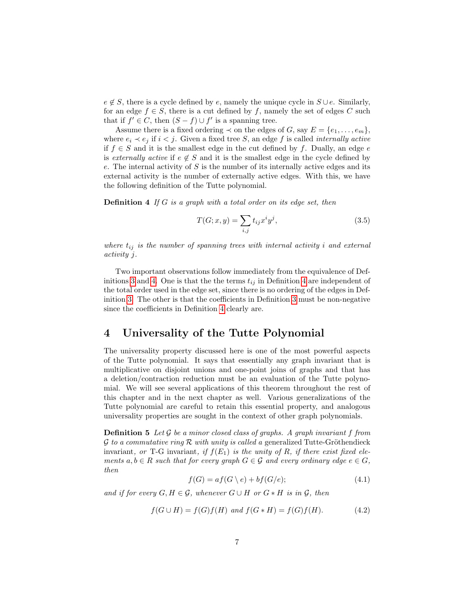$e \notin S$ , there is a cycle defined by e, namely the unique cycle in  $S \cup e$ . Similarly, for an edge  $f \in S$ , there is a cut defined by f, namely the set of edges C such that if  $f' \in C$ , then  $(S - f) \cup f'$  is a spanning tree.

Assume there is a fixed ordering  $\prec$  on the edges of G, say  $E = \{e_1, \ldots, e_m\}$ , where  $e_i \prec e_j$  if  $i < j$ . Given a fixed tree S, an edge f is called *internally active* if  $f \in S$  and it is the smallest edge in the cut defined by f. Dually, an edge e is externally active if  $e \notin S$  and it is the smallest edge in the cycle defined by  $e$ . The internal activity of  $S$  is the number of its internally active edges and its external activity is the number of externally active edges. With this, we have the following definition of the Tutte polynomial.

<span id="page-6-1"></span>**Definition 4** If G is a graph with a total order on its edge set, then

$$
T(G; x, y) = \sum_{i,j} t_{ij} x^i y^j,
$$
\n
$$
(3.5)
$$

where  $t_{ij}$  is the number of spanning trees with internal activity i and external activity j.

Two important observations follow immediately from the equivalence of Def-initions [3](#page-5-1) and [4.](#page-6-1) One is that the terms  $t_{ij}$  in Definition [4](#page-6-1) are independent of the total order used in the edge set, since there is no ordering of the edges in Definition [3.](#page-5-1) The other is that the coefficients in Definition [3](#page-5-1) must be non-negative since the coefficients in Definition [4](#page-6-1) clearly are.

## <span id="page-6-0"></span>4 Universality of the Tutte Polynomial

The universality property discussed here is one of the most powerful aspects of the Tutte polynomial. It says that essentially any graph invariant that is multiplicative on disjoint unions and one-point joins of graphs and that has a deletion/contraction reduction must be an evaluation of the Tutte polynomial. We will see several applications of this theorem throughout the rest of this chapter and in the next chapter as well. Various generalizations of the Tutte polynomial are careful to retain this essential property, and analogous universality properties are sought in the context of other graph polynomials.

<span id="page-6-2"></span>**Definition 5** Let G be a minor closed class of graphs. A graph invariant f from  $\mathcal G$  to a commutative ring  $\mathcal R$  with unity is called a generalized Tutte-Gröthendieck invariant, or T-G invariant, if  $f(E_1)$  is the unity of R, if there exist fixed elements  $a, b \in R$  such that for every graph  $G \in \mathcal{G}$  and every ordinary edge  $e \in G$ , then

<span id="page-6-3"></span>
$$
f(G) = af(G \setminus e) + bf(G/e); \tag{4.1}
$$

and if for every  $G, H \in \mathcal{G}$ , whenever  $G \cup H$  or  $G * H$  is in  $\mathcal{G}$ , then

<span id="page-6-4"></span>
$$
f(G \cup H) = f(G)f(H) \text{ and } f(G * H) = f(G)f(H). \tag{4.2}
$$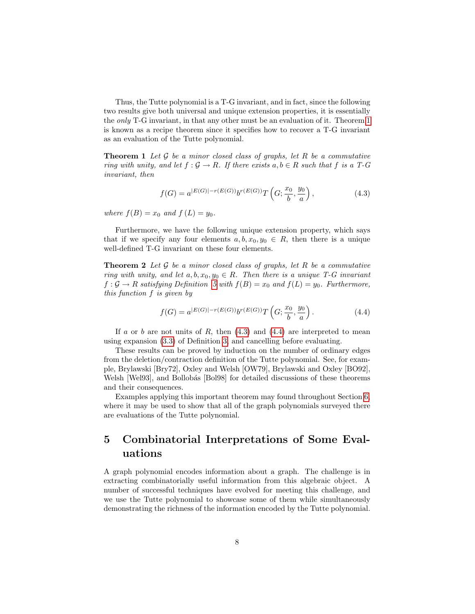Thus, the Tutte polynomial is a T-G invariant, and in fact, since the following two results give both universal and unique extension properties, it is essentially the only T-G invariant, in that any other must be an evaluation of it. Theorem [1](#page-7-1) is known as a recipe theorem since it specifies how to recover a T-G invariant as an evaluation of the Tutte polynomial.

<span id="page-7-1"></span>**Theorem 1** Let  $\mathcal G$  be a minor closed class of graphs, let  $R$  be a commutative ring with unity, and let  $f : \mathcal{G} \to \mathbb{R}$ . If there exists  $a, b \in \mathbb{R}$  such that f is a T-G invariant, then

<span id="page-7-2"></span>
$$
f(G) = a^{|E(G)| - r(E(G))} b^{r(E(G))} T\left(G; \frac{x_0}{b}, \frac{y_0}{a}\right),
$$
\n(4.3)

where  $f(B) = x_0$  and  $f(L) = y_0$ .

Furthermore, we have the following unique extension property, which says that if we specify any four elements  $a, b, x_0, y_0 \in R$ , then there is a unique well-defined T-G invariant on these four elements.

**Theorem 2** Let  $\mathcal G$  be a minor closed class of graphs, let R be a commutative ring with unity, and let  $a, b, x_0, y_0 \in R$ . Then there is a unique T-G invariant  $f: \mathcal{G} \to \mathbb{R}$  satisfying Definition [5](#page-6-2) with  $f(\mathbb{B}) = x_0$  and  $f(\mathbb{L}) = y_0$ . Furthermore, this function f is given by

<span id="page-7-3"></span>
$$
f(G) = a^{|E(G)| - r(E(G))} b^{r(E(G))} T\left(G; \frac{x_0}{b}, \frac{y_0}{a}\right).
$$
 (4.4)

If a or b are not units of R, then  $(4.3)$  and  $(4.4)$  are interpreted to mean using expansion [\(3.3\)](#page-5-3) of Definition [3,](#page-5-1) and cancelling before evaluating.

These results can be proved by induction on the number of ordinary edges from the deletion/contraction definition of the Tutte polynomial. See, for example, Brylawski [Bry72], Oxley and Welsh [OW79], Brylawski and Oxley [BO92], Welsh [Wel93], and Bollobás [Bol98] for detailed discussions of these theorems and their consequences.

Examples applying this important theorem may found throughout Section [6,](#page-11-0) where it may be used to show that all of the graph polynomials surveyed there are evaluations of the Tutte polynomial.

# <span id="page-7-0"></span>5 Combinatorial Interpretations of Some Evaluations

A graph polynomial encodes information about a graph. The challenge is in extracting combinatorially useful information from this algebraic object. A number of successful techniques have evolved for meeting this challenge, and we use the Tutte polynomial to showcase some of them while simultaneously demonstrating the richness of the information encoded by the Tutte polynomial.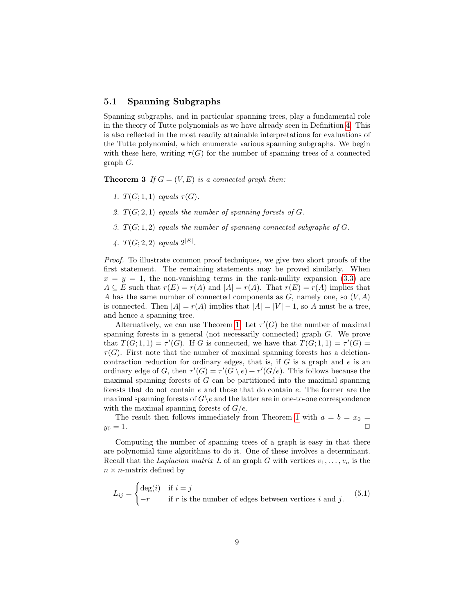#### <span id="page-8-2"></span>5.1 Spanning Subgraphs

Spanning subgraphs, and in particular spanning trees, play a fundamental role in the theory of Tutte polynomials as we have already seen in Definition [4.](#page-6-1) This is also reflected in the most readily attainable interpretations for evaluations of the Tutte polynomial, which enumerate various spanning subgraphs. We begin with these here, writing  $\tau(G)$  for the number of spanning trees of a connected graph G.

<span id="page-8-0"></span>**Theorem 3** If  $G = (V, E)$  is a connected graph then:

- 1.  $T(G; 1, 1)$  equals  $\tau(G)$ .
- <span id="page-8-1"></span>2.  $T(G; 2, 1)$  equals the number of spanning forests of G.
- 3.  $T(G; 1, 2)$  equals the number of spanning connected subgraphs of  $G$ .
- 4.  $T(G; 2, 2)$  equals  $2^{|E|}$ .

Proof. To illustrate common proof techniques, we give two short proofs of the first statement. The remaining statements may be proved similarly. When  $x = y = 1$ , the non-vanishing terms in the rank-nullity expansion [\(3.3\)](#page-5-3) are  $A \subseteq E$  such that  $r(E) = r(A)$  and  $|A| = r(A)$ . That  $r(E) = r(A)$  implies that A has the same number of connected components as  $G$ , namely one, so  $(V, A)$ is connected. Then  $|A| = r(A)$  implies that  $|A| = |V| - 1$ , so A must be a tree, and hence a spanning tree.

Alternatively, we can use Theorem [1.](#page-7-1) Let  $\tau'(G)$  be the number of maximal spanning forests in a general (not necessarily connected) graph  $G$ . We prove that  $T(G; 1, 1) = \tau'(G)$ . If G is connected, we have that  $T(G; 1, 1) = \tau'(G)$  $\tau(G)$ . First note that the number of maximal spanning forests has a deletioncontraction reduction for ordinary edges, that is, if  $G$  is a graph and  $e$  is an ordinary edge of G, then  $\tau'(G) = \tau'(G \setminus e) + \tau'(G/e)$ . This follows because the maximal spanning forests of  $G$  can be partitioned into the maximal spanning forests that do not contain e and those that do contain e. The former are the maximal spanning forests of  $G \e$  and the latter are in one-to-one correspondence with the maximal spanning forests of  $G/e$ .

The result then follows immediately from Theorem [1](#page-7-1) with  $a = b = x_0 =$  $y_0 = 1.$ 

Computing the number of spanning trees of a graph is easy in that there are polynomial time algorithms to do it. One of these involves a determinant. Recall that the Laplacian matrix L of an graph G with vertices  $v_1, \ldots, v_n$  is the  $n \times n$ -matrix defined by

$$
L_{ij} = \begin{cases} \deg(i) & \text{if } i = j \\ -r & \text{if } r \text{ is the number of edges between vertices } i \text{ and } j. \end{cases}
$$
(5.1)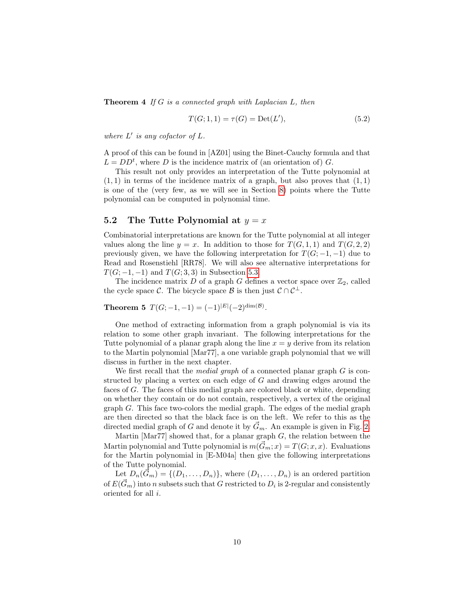**Theorem 4** If G is a connected graph with Laplacian  $L$ , then

$$
T(G; 1, 1) = \tau(G) = \text{Det}(L'),\tag{5.2}
$$

where  $L'$  is any cofactor of  $L$ .

A proof of this can be found in [AZ01] using the Binet-Cauchy formula and that  $L = DD<sup>t</sup>$ , where D is the incidence matrix of (an orientation of) G.

This result not only provides an interpretation of the Tutte polynomial at  $(1, 1)$  in terms of the incidence matrix of a graph, but also proves that  $(1, 1)$ is one of the (very few, as we will see in Section [8\)](#page-29-0) points where the Tutte polynomial can be computed in polynomial time.

### <span id="page-9-1"></span>5.2 The Tutte Polynomial at  $y = x$

Combinatorial interpretations are known for the Tutte polynomial at all integer values along the line  $y = x$ . In addition to those for  $T(G, 1, 1)$  and  $T(G, 2, 2)$ previously given, we have the following interpretation for  $T(G; -1, -1)$  due to Read and Rosenstiehl [RR78]. We will also see alternative interpretations for  $T(G; -1, -1)$  and  $T(G; 3, 3)$  in Subsection [5.3.](#page-10-0)

The incidence matrix  $D$  of a graph  $G$  defines a vector space over  $\mathbb{Z}_2$ , called the cycle space C. The bicycle space B is then just  $\mathcal{C} \cap \mathcal{C}^{\perp}$ .

<span id="page-9-0"></span>Theorem 5  $T(G; -1, -1) = (-1)^{|E|}(-2)^{\dim(\mathcal{B})}$ .

One method of extracting information from a graph polynomial is via its relation to some other graph invariant. The following interpretations for the Tutte polynomial of a planar graph along the line  $x = y$  derive from its relation to the Martin polynomial [Mar77], a one variable graph polynomial that we will discuss in further in the next chapter.

We first recall that the *medial graph* of a connected planar graph  $G$  is constructed by placing a vertex on each edge of G and drawing edges around the faces of G. The faces of this medial graph are colored black or white, depending on whether they contain or do not contain, respectively, a vertex of the original graph G. This face two-colors the medial graph. The edges of the medial graph are then directed so that the black face is on the left. We refer to this as the directed medial graph of G and denote it by  $\vec{G}_m$ . An example is given in Fig. [2.](#page-10-1)

Martin [Mar77] showed that, for a planar graph  $G$ , the relation between the Martin polynomial and Tutte polynomial is  $m(\vec{G}_m; x) = T(G; x, x)$ . Evaluations for the Martin polynomial in [E-M04a] then give the following interpretations of the Tutte polynomial.

Let  $D_n(\vec{G}_m) = \{(D_1, \ldots, D_n)\}\$ , where  $(D_1, \ldots, D_n)$  is an ordered partition of  $E(\vec{G}_m)$  into n subsets such that G restricted to  $D_i$  is 2-regular and consistently oriented for all i.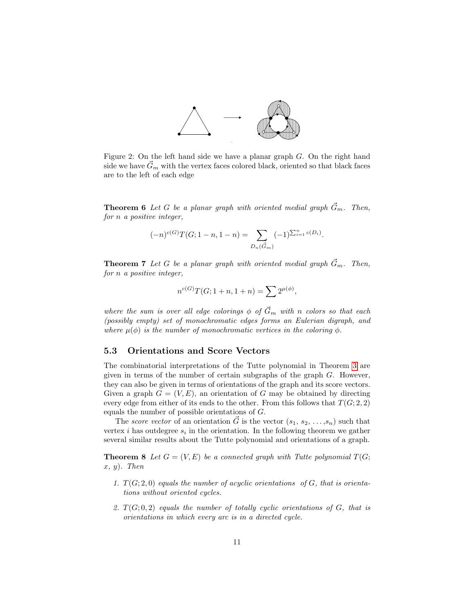

<span id="page-10-1"></span>Figure 2: On the left hand side we have a planar graph  $G$ . On the right hand side we have  $\tilde{G}_m$  with the vertex faces colored black, oriented so that black faces are to the left of each edge

**Theorem 6** Let G be a planar graph with oriented medial graph  $\vec{G}_m$ . Then, for n a positive integer,

$$
(-n)^{c(G)}T(G; 1-n, 1-n) = \sum_{D_n(\vec{G}_m)} (-1)^{\sum_{i=1}^n c(D_i)}.
$$

**Theorem 7** Let G be a planar graph with oriented medial graph  $\vec{G}_m$ . Then, for n a positive integer,

$$
n^{c(G)}T(G; 1+n, 1+n) = \sum 2^{\mu(\phi)},
$$

where the sum is over all edge colorings  $\phi$  of  $\vec{G}_m$  with n colors so that each (possibly empty) set of monochromatic edges forms an Eulerian digraph, and where  $\mu(\phi)$  is the number of monochromatic vertices in the coloring  $\phi$ .

### <span id="page-10-0"></span>5.3 Orientations and Score Vectors

The combinatorial interpretations of the Tutte polynomial in Theorem [3](#page-8-0) are given in terms of the number of certain subgraphs of the graph G. However, they can also be given in terms of orientations of the graph and its score vectors. Given a graph  $G = (V, E)$ , an orientation of G may be obtained by directing every edge from either of its ends to the other. From this follows that  $T(G; 2, 2)$ equals the number of possible orientations of G.

The score vector of an orientation  $\vec{G}$  is the vector  $(s_1, s_2, \ldots, s_n)$  such that vertex  $i$  has outdegree  $s_i$  in the orientation. In the following theorem we gather several similar results about the Tutte polynomial and orientations of a graph.

<span id="page-10-4"></span>**Theorem 8** Let  $G = (V, E)$  be a connected graph with Tutte polynomial  $T(G;$  $x, y$ . Then

- <span id="page-10-2"></span>1.  $T(G; 2, 0)$  equals the number of acyclic orientations of G, that is orientations without oriented cycles.
- <span id="page-10-3"></span>2.  $T(G; 0, 2)$  equals the number of totally cyclic orientations of G, that is orientations in which every arc is in a directed cycle.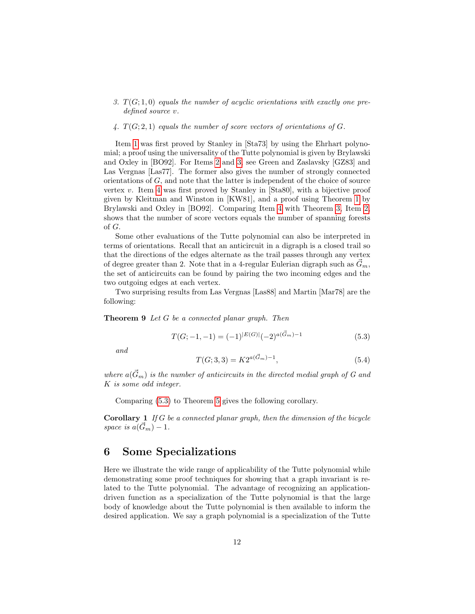- <span id="page-11-1"></span>3.  $T(G; 1, 0)$  equals the number of acyclic orientations with exactly one predefined source v.
- <span id="page-11-2"></span>4.  $T(G; 2, 1)$  equals the number of score vectors of orientations of G.

Item [1](#page-10-2) was first proved by Stanley in [Sta73] by using the Ehrhart polynomial; a proof using the universality of the Tutte polynomial is given by Brylawski and Oxley in [BO92]. For Items [2](#page-10-3) and [3,](#page-11-1) see Green and Zaslavsky [GZ83] and Las Vergnas [Las77]. The former also gives the number of strongly connected orientations of  $G$ , and note that the latter is independent of the choice of source vertex v. Item [4](#page-11-2) was first proved by Stanley in [Sta80], with a bijective proof given by Kleitman and Winston in [KW81], and a proof using Theorem [1](#page-7-1) by Brylawski and Oxley in [BO92]. Comparing Item [4](#page-11-2) with Theorem [3,](#page-8-0) Item [2,](#page-8-1) shows that the number of score vectors equals the number of spanning forests of G.

Some other evaluations of the Tutte polynomial can also be interpreted in terms of orientations. Recall that an anticircuit in a digraph is a closed trail so that the directions of the edges alternate as the trail passes through any vertex of degree greater than 2. Note that in a 4-regular Eulerian digraph such as  $G_m$ , the set of anticircuits can be found by pairing the two incoming edges and the two outgoing edges at each vertex.

Two surprising results from Las Vergnas [Las88] and Martin [Mar78] are the following:

#### Theorem 9 Let G be a connected planar graph. Then

<span id="page-11-3"></span>
$$
T(G; -1, -1) = (-1)^{|E(G)|} (-2)^{a(\vec{G}_m) - 1}
$$
\n(5.3)

and

$$
T(G; 3, 3) = K2^{a(\vec{G}_m) - 1},\tag{5.4}
$$

where  $a(\vec{G}_m)$  is the number of anticircuits in the directed medial graph of G and K is some odd integer.

Comparing [\(5.3\)](#page-11-3) to Theorem [5](#page-9-0) gives the following corollary.

**Corollary 1** If  $G$  be a connected planar graph, then the dimension of the bicycle space is  $a(\vec{G}_m) - 1$ .

## <span id="page-11-0"></span>6 Some Specializations

Here we illustrate the wide range of applicability of the Tutte polynomial while demonstrating some proof techniques for showing that a graph invariant is related to the Tutte polynomial. The advantage of recognizing an applicationdriven function as a specialization of the Tutte polynomial is that the large body of knowledge about the Tutte polynomial is then available to inform the desired application. We say a graph polynomial is a specialization of the Tutte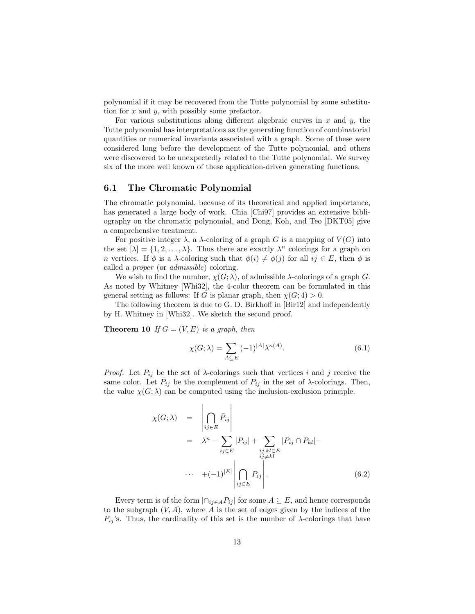polynomial if it may be recovered from the Tutte polynomial by some substitution for  $x$  and  $y$ , with possibly some prefactor.

For various substitutions along different algebraic curves in  $x$  and  $y$ , the Tutte polynomial has interpretations as the generating function of combinatorial quantities or numerical invariants associated with a graph. Some of these were considered long before the development of the Tutte polynomial, and others were discovered to be unexpectedly related to the Tutte polynomial. We survey six of the more well known of these application-driven generating functions.

## 6.1 The Chromatic Polynomial

The chromatic polynomial, because of its theoretical and applied importance, has generated a large body of work. Chia [Chi97] provides an extensive bibliography on the chromatic polynomial, and Dong, Koh, and Teo [DKT05] give a comprehensive treatment.

For positive integer  $\lambda$ , a  $\lambda$ -coloring of a graph G is a mapping of  $V(G)$  into the set  $[\lambda] = \{1, 2, ..., \lambda\}$ . Thus there are exactly  $\lambda^n$  colorings for a graph on n vertices. If  $\phi$  is a  $\lambda$ -coloring such that  $\phi(i) \neq \phi(j)$  for all  $ij \in E$ , then  $\phi$  is called a proper (or admissible) coloring.

We wish to find the number,  $\chi(G; \lambda)$ , of admissible  $\lambda$ -colorings of a graph G. As noted by Whitney [Whi32], the 4-color theorem can be formulated in this general setting as follows: If G is planar graph, then  $\chi(G; 4) > 0$ .

The following theorem is due to G. D. Birkhoff in [Bir12] and independently by H. Whitney in [Whi32]. We sketch the second proof.

**Theorem 10** If  $G = (V, E)$  is a graph, then

<span id="page-12-2"></span><span id="page-12-0"></span>
$$
\chi(G; \lambda) = \sum_{A \subseteq E} (-1)^{|A|} \lambda^{\kappa(A)}.
$$
\n(6.1)

*Proof.* Let  $P_{ij}$  be the set of  $\lambda$ -colorings such that vertices i and j receive the same color. Let  $\bar{P}_{ij}$  be the complement of  $P_{ij}$  in the set of  $\lambda$ -colorings. Then, the value  $\chi(G; \lambda)$  can be computed using the inclusion-exclusion principle.

<span id="page-12-1"></span>
$$
\chi(G; \lambda) = \left| \bigcap_{ij \in E} \bar{P}_{ij} \right|
$$
  
=  $\lambda^n - \sum_{ij \in E} |P_{ij}| + \sum_{\substack{i,j,kl \in E \\ ij \neq kl}} |P_{ij} \cap P_{kl}| -$   
...  $+ (-1)^{|E|} \left| \bigcap_{ij \in E} P_{ij} \right|.$  (6.2)

Every term is of the form  $\left| \bigcap_{i \in A} P_{ij} \right|$  for some  $A \subseteq E$ , and hence corresponds to the subgraph  $(V, A)$ , where A is the set of edges given by the indices of the  $P_{ij}$ 's. Thus, the cardinality of this set is the number of  $\lambda$ -colorings that have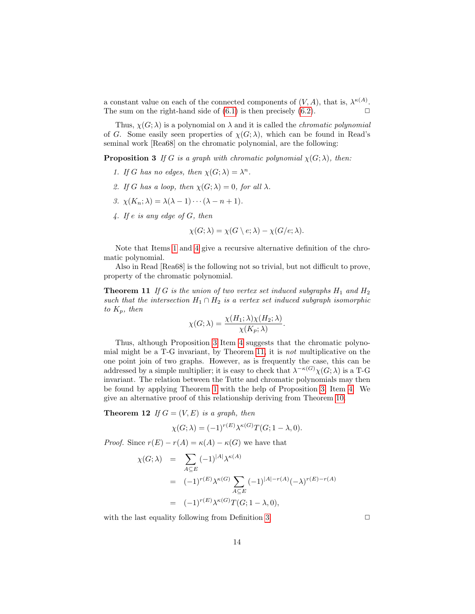a constant value on each of the connected components of  $(V, A)$ , that is,  $\lambda^{\kappa(A)}$ . The sum on the right-hand side of  $(6.1)$  is then precisely  $(6.2)$ .

Thus,  $\chi(G; \lambda)$  is a polynomial on  $\lambda$  and it is called the *chromatic polynomial* of G. Some easily seen properties of  $\chi(G; \lambda)$ , which can be found in Read's seminal work [Rea68] on the chromatic polynomial, are the following:

<span id="page-13-2"></span>**Proposition 3** If G is a graph with chromatic polynomial  $\chi(G; \lambda)$ , then:

- <span id="page-13-0"></span>1. If G has no edges, then  $\chi(G; \lambda) = \lambda^n$ .
- 2. If G has a loop, then  $\chi(G; \lambda) = 0$ , for all  $\lambda$ .
- 3.  $\chi(K_n; \lambda) = \lambda(\lambda 1) \cdots (\lambda n + 1).$
- <span id="page-13-1"></span>4. If e is any edge of G, then

$$
\chi(G; \lambda) = \chi(G \setminus e; \lambda) - \chi(G/e; \lambda).
$$

Note that Items [1](#page-13-0) and [4](#page-13-1) give a recursive alternative definition of the chromatic polynomial.

Also in Read [Rea68] is the following not so trivial, but not difficult to prove, property of the chromatic polynomial.

<span id="page-13-3"></span>**Theorem 11** If G is the union of two vertex set induced subgraphs  $H_1$  and  $H_2$ such that the intersection  $H_1 \cap H_2$  is a vertex set induced subgraph isomorphic to  $K_p$ , then

$$
\chi(G; \lambda) = \frac{\chi(H_1; \lambda)\chi(H_2; \lambda)}{\chi(K_p; \lambda)}.
$$

Thus, although Proposition [3](#page-13-2) Item [4](#page-13-1) suggests that the chromatic polynomial might be a T-G invariant, by Theorem [11,](#page-13-3) it is not multiplicative on the one point join of two graphs. However, as is frequently the case, this can be addressed by a simple multiplier; it is easy to check that  $\lambda^{-\kappa(G)} \chi(G; \lambda)$  is a T-G invariant. The relation between the Tutte and chromatic polynomials may then be found by applying Theorem [1](#page-7-1) with the help of Proposition [3,](#page-13-2) Item [4.](#page-13-1) We give an alternative proof of this relationship deriving from Theorem [10.](#page-12-2)

**Theorem 12** If  $G = (V, E)$  is a graph, then

$$
\chi(G; \lambda) = (-1)^{r(E)} \lambda^{\kappa(G)} T(G; 1 - \lambda, 0).
$$

*Proof.* Since  $r(E) - r(A) = \kappa(A) - \kappa(G)$  we have that

$$
\chi(G; \lambda) = \sum_{A \subseteq E} (-1)^{|A|} \lambda^{\kappa(A)}
$$
  
= 
$$
(-1)^{r(E)} \lambda^{\kappa(G)} \sum_{A \subseteq E} (-1)^{|A| - r(A)} (-\lambda)^{r(E) - r(A)}
$$
  
= 
$$
(-1)^{r(E)} \lambda^{\kappa(G)} T(G; 1 - \lambda, 0),
$$

with the last equality following from Definition [3.](#page-5-1)  $\Box$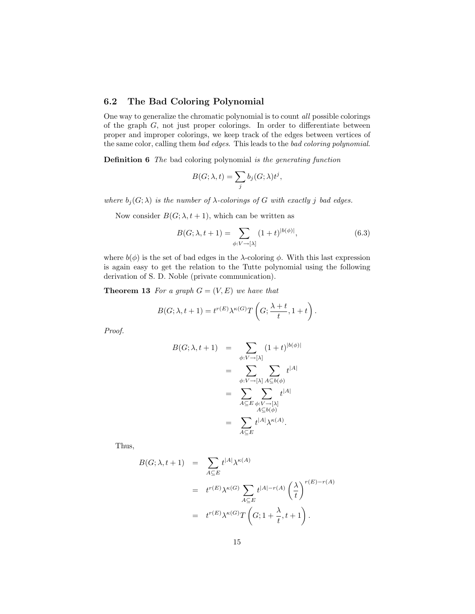## 6.2 The Bad Coloring Polynomial

One way to generalize the chromatic polynomial is to count all possible colorings of the graph G, not just proper colorings. In order to differentiate between proper and improper colorings, we keep track of the edges between vertices of the same color, calling them bad edges. This leads to the bad coloring polynomial.

**Definition 6** The bad coloring polynomial is the generating function

$$
B(G; \lambda, t) = \sum_{j} b_j(G; \lambda) t^j,
$$

where  $b_j(G; \lambda)$  is the number of  $\lambda$ -colorings of G with exactly j bad edges.

Now consider  $B(G; \lambda, t+1)$ , which can be written as

$$
B(G; \lambda, t+1) = \sum_{\phi: V \to [\lambda]} (1+t)^{|b(\phi)|}, \tag{6.3}
$$

where  $b(\phi)$  is the set of bad edges in the  $\lambda$ -coloring  $\phi$ . With this last expression is again easy to get the relation to the Tutte polynomial using the following derivation of S. D. Noble (private communication).

**Theorem 13** For a graph  $G = (V, E)$  we have that

$$
B(G; \lambda, t+1) = t^{r(E)} \lambda^{\kappa(G)} T\left(G; \frac{\lambda+t}{t}, 1+t\right).
$$

Proof.

$$
B(G; \lambda, t+1) = \sum_{\phi: V \to [\lambda]} (1+t)^{|b(\phi)|}
$$
  

$$
= \sum_{\phi: V \to [\lambda]} \sum_{A \subseteq b(\phi)} t^{|A|}
$$
  

$$
= \sum_{A \subseteq E} \sum_{\phi: V \to [\lambda]} t^{|A|}
$$
  

$$
= \sum_{A \subseteq E} t^{|A|} \lambda^{\kappa(A)}.
$$

Thus,

$$
B(G; \lambda, t+1) = \sum_{A \subseteq E} t^{|A|} \lambda^{\kappa(A)}
$$
  
=  $t^{r(E)} \lambda^{\kappa(G)} \sum_{A \subseteq E} t^{|A| - r(A)} \left(\frac{\lambda}{t}\right)^{r(E) - r(A)}$   
=  $t^{r(E)} \lambda^{\kappa(G)} T\left(G; 1 + \frac{\lambda}{t}, t+1\right).$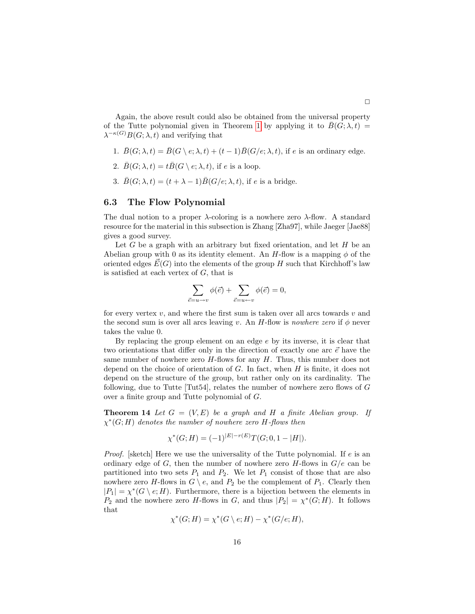Again, the above result could also be obtained from the universal property of the Tutte polynomial given in Theorem [1](#page-7-1) by applying it to  $B(G; \lambda, t) =$  $\lambda^{-\kappa(G)}B(G;\lambda,t)$  and verifying that

- 1.  $\bar{B}(G; \lambda, t) = \bar{B}(G \setminus e; \lambda, t) + (t 1)\bar{B}(G/e; \lambda, t)$ , if e is an ordinary edge.
- 2.  $\bar{B}(G; \lambda, t) = t\bar{B}(G \setminus e; \lambda, t)$ , if e is a loop.
- 3.  $\bar{B}(G; \lambda, t) = (t + \lambda 1)\bar{B}(G/e; \lambda, t)$ , if e is a bridge.

#### <span id="page-15-0"></span>6.3 The Flow Polynomial

The dual notion to a proper  $\lambda$ -coloring is a nowhere zero  $\lambda$ -flow. A standard resource for the material in this subsection is Zhang [Zha97], while Jaeger [Jae88] gives a good survey.

Let G be a graph with an arbitrary but fixed orientation, and let  $H$  be an Abelian group with 0 as its identity element. An  $H$ -flow is a mapping  $\phi$  of the oriented edges  $E(G)$  into the elements of the group H such that Kirchhoff's law is satisfied at each vertex of  $G$ , that is

$$
\sum_{\vec{e}=u\to v} \phi(\vec{e}) + \sum_{\vec{e}=u\gets v} \phi(\vec{e}) = 0,
$$

for every vertex  $v$ , and where the first sum is taken over all arcs towards  $v$  and the second sum is over all arcs leaving v. An H-flow is nowhere zero if  $\phi$  never takes the value 0.

By replacing the group element on an edge  $e$  by its inverse, it is clear that two orientations that differ only in the direction of exactly one arc  $\vec{e}$  have the same number of nowhere zero  $H$ -flows for any  $H$ . Thus, this number does not depend on the choice of orientation of  $G$ . In fact, when  $H$  is finite, it does not depend on the structure of the group, but rather only on its cardinality. The following, due to Tutte [Tut54], relates the number of nowhere zero flows of  $G$ over a finite group and Tutte polynomial of G.

**Theorem 14** Let  $G = (V, E)$  be a graph and H a finite Abelian group. If  $\chi^*(G;H)$  denotes the number of nowhere zero H-flows then

$$
\chi^*(G;H) = (-1)^{|E|-r(E)}T(G;0,1-|H|).
$$

*Proof.* [sketch] Here we use the universality of the Tutte polynomial. If  $e$  is an ordinary edge of G, then the number of nowhere zero  $H$ -flows in  $G/e$  can be partitioned into two sets  $P_1$  and  $P_2$ . We let  $P_1$  consist of those that are also nowhere zero H-flows in  $G \setminus e$ , and  $P_2$  be the complement of  $P_1$ . Clearly then  $|P_1| = \chi^*(G \setminus e; H)$ . Furthermore, there is a bijection between the elements in  $P_2$  and the nowhere zero H-flows in G, and thus  $|P_2| = \chi^*(G;H)$ . It follows that

$$
\chi^*(G;H) = \chi^*(G \setminus e;H) - \chi^*(G/e;H),
$$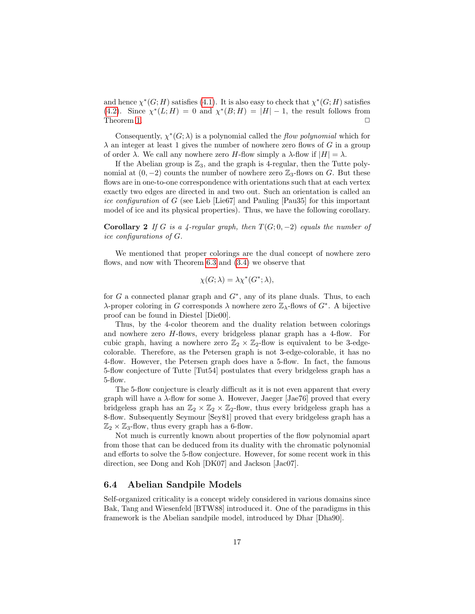and hence  $\chi^*(G;H)$  satisfies [\(4.1\)](#page-6-3). It is also easy to check that  $\chi^*(G;H)$  satisfies [\(4.2\)](#page-6-4). Since  $\chi^*(L; H) = 0$  and  $\chi^*(B; H) = |H| - 1$ , the result follows from Theorem [1.](#page-7-1)  $\Box$ 

Consequently,  $\chi^*(G; \lambda)$  is a polynomial called the flow polynomial which for  $\lambda$  an integer at least 1 gives the number of nowhere zero flows of G in a group of order  $\lambda$ . We call any nowhere zero H-flow simply a  $\lambda$ -flow if  $|H| = \lambda$ .

If the Abelian group is  $\mathbb{Z}_3$ , and the graph is 4-regular, then the Tutte polynomial at  $(0, -2)$  counts the number of nowhere zero  $\mathbb{Z}_3$ -flows on G. But these flows are in one-to-one correspondence with orientations such that at each vertex exactly two edges are directed in and two out. Such an orientation is called an ice configuration of G (see Lieb [Lie67] and Pauling [Pau35] for this important model of ice and its physical properties). Thus, we have the following corollary.

**Corollary 2** If G is a 4-regular graph, then  $T(G; 0, -2)$  equals the number of ice configurations of G.

We mentioned that proper colorings are the dual concept of nowhere zero flows, and now with Theorem [6.3](#page-15-0) and [\(3.4\)](#page-5-4) we observe that

$$
\chi(G; \lambda) = \lambda \chi^*(G^*; \lambda),
$$

for G a connected planar graph and  $G^*$ , any of its plane duals. Thus, to each λ-proper coloring in G corresponds  $\lambda$  nowhere zero  $\mathbb{Z}_{\lambda}$ -flows of  $G^*$ . A bijective proof can be found in Diestel [Die00].

Thus, by the 4-color theorem and the duality relation between colorings and nowhere zero H-flows, every bridgeless planar graph has a 4-flow. For cubic graph, having a nowhere zero  $\mathbb{Z}_2 \times \mathbb{Z}_2$ -flow is equivalent to be 3-edgecolorable. Therefore, as the Petersen graph is not 3-edge-colorable, it has no 4-flow. However, the Petersen graph does have a 5-flow. In fact, the famous 5-flow conjecture of Tutte [Tut54] postulates that every bridgeless graph has a 5-flow.

The 5-flow conjecture is clearly difficult as it is not even apparent that every graph will have a  $\lambda$ -flow for some  $\lambda$ . However, Jaeger [Jae76] proved that every bridgeless graph has an  $\mathbb{Z}_2 \times \mathbb{Z}_2 \times \mathbb{Z}_2$ -flow, thus every bridgeless graph has a 8-flow. Subsequently Seymour [Sey81] proved that every bridgeless graph has a  $\mathbb{Z}_2 \times \mathbb{Z}_3$ -flow, thus every graph has a 6-flow.

Not much is currently known about properties of the flow polynomial apart from those that can be deduced from its duality with the chromatic polynomial and efforts to solve the 5-flow conjecture. However, for some recent work in this direction, see Dong and Koh [DK07] and Jackson [Jac07].

#### 6.4 Abelian Sandpile Models

Self-organized criticality is a concept widely considered in various domains since Bak, Tang and Wiesenfeld [BTW88] introduced it. One of the paradigms in this framework is the Abelian sandpile model, introduced by Dhar [Dha90].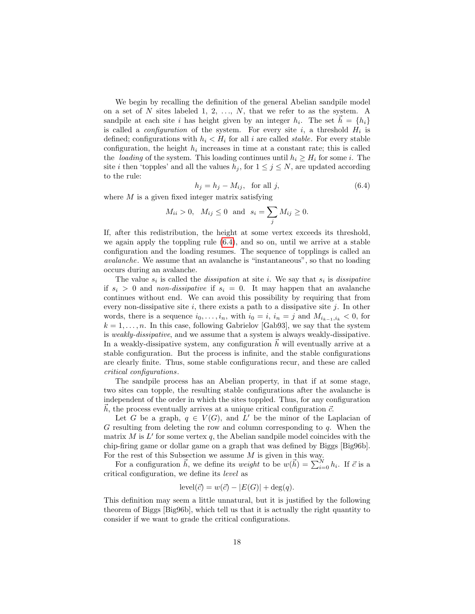We begin by recalling the definition of the general Abelian sandpile model on a set of N sites labeled 1, 2,  $\dots$ , N, that we refer to as the system. A sandpile at each site i has height given by an integer  $h_i$ . The set  $\vec{h} = \{h_i\}$ is called a *configuration* of the system. For every site  $i$ , a threshold  $H_i$  is defined; configurations with  $h_i < H_i$  for all i are called *stable*. For every stable configuration, the height  $h_i$  increases in time at a constant rate; this is called the *loading* of the system. This loading continues until  $h_i \geq H_i$  for some i. The site *i* then 'topples' and all the values  $h_i$ , for  $1 \leq j \leq N$ , are updated according to the rule:

<span id="page-17-0"></span>
$$
h_j = h_j - M_{ij}, \quad \text{for all } j,
$$
\n
$$
(6.4)
$$

where  $M$  is a given fixed integer matrix satisfying

$$
M_{ii} > 0
$$
,  $M_{ij} \le 0$  and  $s_i = \sum_j M_{ij} \ge 0$ .

If, after this redistribution, the height at some vertex exceeds its threshold, we again apply the toppling rule [\(6.4\)](#page-17-0), and so on, until we arrive at a stable configuration and the loading resumes. The sequence of topplings is called an avalanche. We assume that an avalanche is "instantaneous", so that no loading occurs during an avalanche.

The value  $s_i$  is called the *dissipation* at site *i*. We say that  $s_i$  is *dissipative* if  $s_i > 0$  and non-dissipative if  $s_i = 0$ . It may happen that an avalanche continues without end. We can avoid this possibility by requiring that from every non-dissipative site  $i$ , there exists a path to a dissipative site  $j$ . In other words, there is a sequence  $i_0, \ldots, i_n$ , with  $i_0 = i$ ,  $i_n = j$  and  $M_{i_{k-1},i_k} < 0$ , for  $k = 1, \ldots, n$ . In this case, following Gabrielov [Gab93], we say that the system is weakly-dissipative, and we assume that a system is always weakly-dissipative. In a weakly-dissipative system, any configuration  $\hbar$  will eventually arrive at a stable configuration. But the process is infinite, and the stable configurations are clearly finite. Thus, some stable configurations recur, and these are called critical configurations.

The sandpile process has an Abelian property, in that if at some stage, two sites can topple, the resulting stable configurations after the avalanche is independent of the order in which the sites toppled. Thus, for any configuration h, the process eventually arrives at a unique critical configuration  $\vec{c}$ .

Let G be a graph,  $q \in V(G)$ , and L' be the minor of the Laplacian of G resulting from deleting the row and column corresponding to  $q$ . When the matrix  $M$  is  $L'$  for some vertex  $q$ , the Abelian sandpile model coincides with the chip-firing game or dollar game on a graph that was defined by Biggs [Big96b]. For the rest of this Subsection we assume  $M$  is given in this way.

For a configuration  $\vec{h}$ , we define its *weight* to be  $w(\vec{h}) = \sum_{i=0}^{N} h_i$ . If  $\vec{c}$  is a critical configuration, we define its level as

$$
level(\vec{c}) = w(\vec{c}) - |E(G)| + deg(q).
$$

This definition may seem a little unnatural, but it is justified by the following theorem of Biggs [Big96b], which tell us that it is actually the right quantity to consider if we want to grade the critical configurations.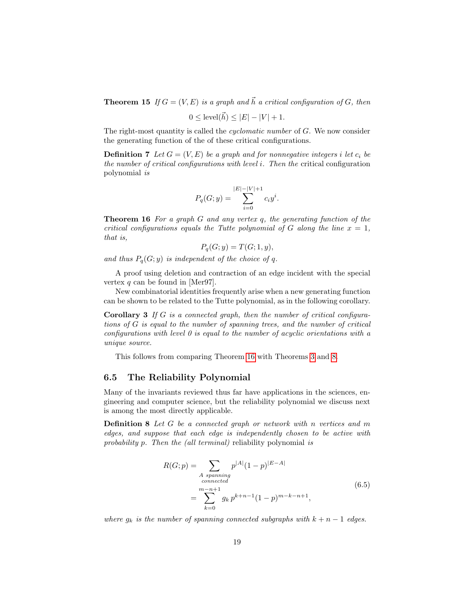**Theorem 15** If  $G = (V, E)$  is a graph and  $\vec{h}$  a critical configuration of G, then

$$
0 \leq
$$
level( $\vec{h}$ )  $\leq |E| - |V| + 1$ .

The right-most quantity is called the cyclomatic number of G. We now consider the generating function of the of these critical configurations.

**Definition 7** Let  $G = (V, E)$  be a graph and for nonnegative integers i let  $c_i$  be the number of critical configurations with level i. Then the critical configuration polynomial is

$$
P_q(G; y) = \sum_{i=0}^{|E| - |V| + 1} c_i y^i.
$$

<span id="page-18-0"></span>**Theorem 16** For a graph G and any vertex q, the generating function of the critical configurations equals the Tutte polynomial of G along the line  $x = 1$ , that is,

$$
P_q(G; y) = T(G; 1, y),
$$

and thus  $P_q(G; y)$  is independent of the choice of q.

A proof using deletion and contraction of an edge incident with the special vertex q can be found in [Mer97].

New combinatorial identities frequently arise when a new generating function can be shown to be related to the Tutte polynomial, as in the following corollary.

**Corollary 3** If  $G$  is a connected graph, then the number of critical configurations of G is equal to the number of spanning trees, and the number of critical configurations with level  $\theta$  is equal to the number of acyclic orientations with a unique source.

This follows from comparing Theorem [16](#page-18-0) with Theorems [3](#page-8-0) and [8.](#page-10-4)

### 6.5 The Reliability Polynomial

Many of the invariants reviewed thus far have applications in the sciences, engineering and computer science, but the reliability polynomial we discuss next is among the most directly applicable.

Definition 8 Let G be a connected graph or network with n vertices and m edges, and suppose that each edge is independently chosen to be active with probability p. Then the (all terminal) reliability polynomial is

$$
R(G; p) = \sum_{\substack{A \text{ spanning} \\ connected}} p^{|A|} (1-p)^{|E-A|}
$$
  
= 
$$
\sum_{k=0}^{m-n+1} g_k p^{k+n-1} (1-p)^{m-k-n+1},
$$
 (6.5)

where  $g_k$  is the number of spanning connected subgraphs with  $k + n - 1$  edges.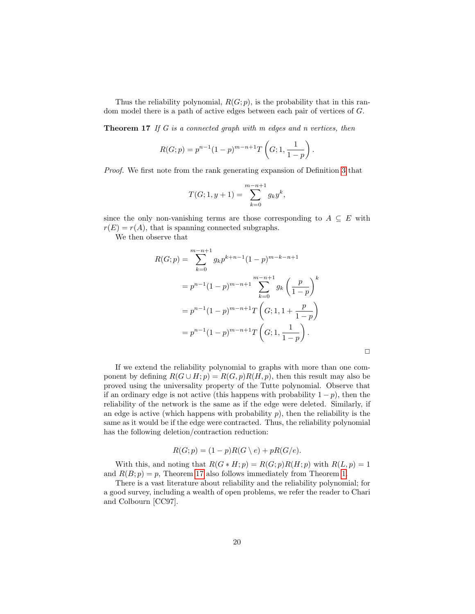Thus the reliability polynomial,  $R(G; p)$ , is the probability that in this random model there is a path of active edges between each pair of vertices of G.

<span id="page-19-0"></span>**Theorem 17** If G is a connected graph with m edges and n vertices, then

$$
R(G;p) = p^{n-1}(1-p)^{m-n+1}T\left(G; 1, \frac{1}{1-p}\right).
$$

Proof. We first note from the rank generating expansion of Definition [3](#page-5-1) that

$$
T(G; 1, y+1) = \sum_{k=0}^{m-n+1} g_k y^k,
$$

since the only non-vanishing terms are those corresponding to  $A \subseteq E$  with  $r(E) = r(A)$ , that is spanning connected subgraphs.

We then observe that

$$
R(G; p) = \sum_{k=0}^{m-n+1} g_k p^{k+n-1} (1-p)^{m-k-n+1}
$$
  
=  $p^{n-1} (1-p)^{m-n+1} \sum_{k=0}^{m-n+1} g_k \left(\frac{p}{1-p}\right)^k$   
=  $p^{n-1} (1-p)^{m-n+1} T\left(G; 1, 1+\frac{p}{1-p}\right)$   
=  $p^{n-1} (1-p)^{m-n+1} T\left(G; 1, \frac{1}{1-p}\right)$ .

If we extend the reliability polynomial to graphs with more than one component by defining  $R(G \cup H; p) = R(G, p)R(H, p)$ , then this result may also be proved using the universality property of the Tutte polynomial. Observe that if an ordinary edge is not active (this happens with probability  $1 - p$ ), then the reliability of the network is the same as if the edge were deleted. Similarly, if an edge is active (which happens with probability  $p$ ), then the reliability is the same as it would be if the edge were contracted. Thus, the reliability polynomial has the following deletion/contraction reduction:

$$
R(G;p) = (1-p)R(G \setminus e) + pR(G/e).
$$

With this, and noting that  $R(G * H; p) = R(G; p)R(H; p)$  with  $R(L, p) = 1$ and  $R(B; p) = p$ , Theorem [17](#page-19-0) also follows immediately from Theorem [1.](#page-7-1)

There is a vast literature about reliability and the reliability polynomial; for a good survey, including a wealth of open problems, we refer the reader to Chari and Colbourn [CC97].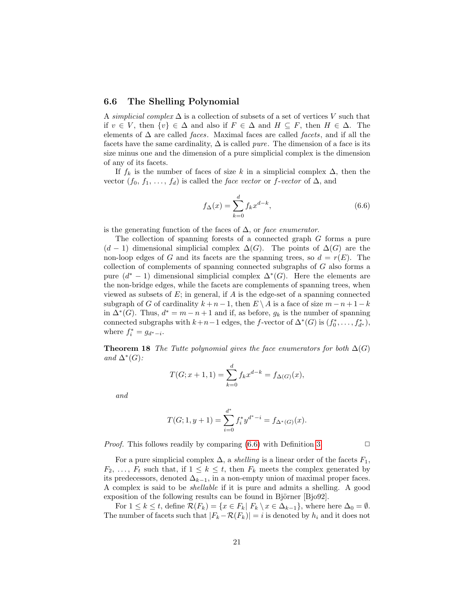#### 6.6 The Shelling Polynomial

A simplicial complex  $\Delta$  is a collection of subsets of a set of vertices V such that if  $v \in V$ , then  $\{v\} \in \Delta$  and also if  $F \in \Delta$  and  $H \subseteq F$ , then  $H \in \Delta$ . The elements of  $\Delta$  are called *faces*. Maximal faces are called *facets*, and if all the facets have the same cardinality,  $\Delta$  is called *pure*. The dimension of a face is its size minus one and the dimension of a pure simplicial complex is the dimension of any of its facets.

If  $f_k$  is the number of faces of size k in a simplicial complex  $\Delta$ , then the vector  $(f_0, f_1, \ldots, f_d)$  is called the *face vector* or *f*-vector of  $\Delta$ , and

<span id="page-20-0"></span>
$$
f_{\Delta}(x) = \sum_{k=0}^{d} f_k x^{d-k},
$$
\n(6.6)

is the generating function of the faces of  $\Delta$ , or face enumerator.

The collection of spanning forests of a connected graph G forms a pure  $(d-1)$  dimensional simplicial complex  $\Delta(G)$ . The points of  $\Delta(G)$  are the non-loop edges of G and its facets are the spanning trees, so  $d = r(E)$ . The collection of complements of spanning connected subgraphs of G also forms a pure  $(d^* - 1)$  dimensional simplicial complex  $\Delta^*(G)$ . Here the elements are the non-bridge edges, while the facets are complements of spanning trees, when viewed as subsets of  $E$ ; in general, if  $A$  is the edge-set of a spanning connected subgraph of G of cardinality  $k + n - 1$ , then  $E \setminus A$  is a face of size  $m - n + 1 - k$ in  $\Delta^*(G)$ . Thus,  $d^* = m - n + 1$  and if, as before,  $g_k$  is the number of spanning connected subgraphs with  $k+n-1$  edges, the f-vector of  $\Delta^*(G)$  is  $(f_0^*, \ldots, f_{d^*}^*)$ , where  $f_i^* = g_{d^* - i}$ .

<span id="page-20-1"></span>**Theorem 18** The Tutte polynomial gives the face enumerators for both  $\Delta(G)$ and  $\Delta^*(G)$ :

$$
T(G; x+1, 1) = \sum_{k=0}^{d} f_k x^{d-k} = f_{\Delta(G)}(x),
$$

and

$$
T(G; 1, y+1) = \sum_{i=0}^{d^*} f_i^* y^{d^* - i} = f_{\Delta^*(G)}(x).
$$

*Proof.* This follows readily by comparing  $(6.6)$  with Definition [3.](#page-5-1)  $\Box$ 

For a pure simplicial complex  $\Delta$ , a *shelling* is a linear order of the facets  $F_1$ ,  $F_2, \ldots, F_t$  such that, if  $1 \leq k \leq t$ , then  $F_k$  meets the complex generated by its predecessors, denoted  $\Delta_{k-1}$ , in a non-empty union of maximal proper faces. A complex is said to be shellable if it is pure and admits a shelling. A good exposition of the following results can be found in Björner  $[B]$ jo $92$ .

For  $1 \leq k \leq t$ , define  $\mathcal{R}(F_k) = \{x \in F_k | F_k \setminus x \in \Delta_{k-1}\}$ , where here  $\Delta_0 = \emptyset$ . The number of facets such that  $|F_k-\mathcal{R}(F_k)|=i$  is denoted by  $h_i$  and it does not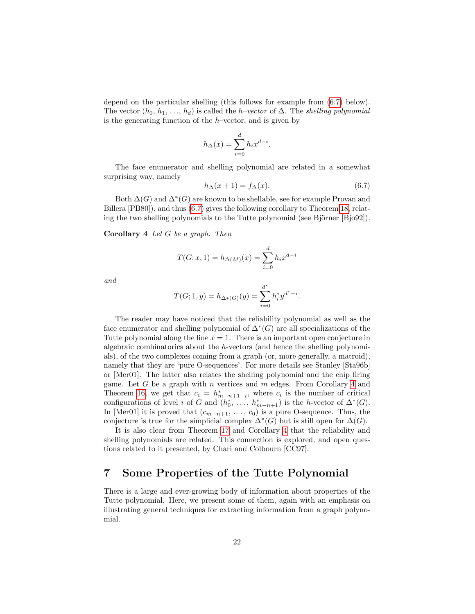depend on the particular shelling (this follows for example from [\(6.7\)](#page-21-0) below). The vector  $(h_0, h_1, \ldots, h_d)$  is called the *h*–vector of  $\Delta$ . The *shelling polynomial* is the generating function of the  $h$ –vector, and is given by

$$
h_{\Delta}(x) = \sum_{i=0}^{d} h_i x^{d-i}.
$$

The face enumerator and shelling polynomial are related in a somewhat surprising way, namely

<span id="page-21-0"></span>
$$
h_{\Delta}(x+1) = f_{\Delta}(x). \tag{6.7}
$$

Both  $\Delta(G)$  and  $\Delta^*(G)$  are known to be shellable, see for example Provan and Billera [PB80]), and thus [\(6.7\)](#page-21-0) gives the following corollary to Theorem [18,](#page-20-1) relating the two shelling polynomials to the Tutte polynomial (see Björner [Bjo92]).

<span id="page-21-1"></span>**Corollary 4** Let  $G$  be a graph. Then

$$
T(G; x, 1) = h_{\Delta(M)}(x) = \sum_{i=0}^{d} h_i x^{d-i}
$$

and

$$
T(G; 1, y) = h_{\Delta^*(G)}(y) = \sum_{i=0}^{d^*} h_i^* y^{d^* - i}.
$$

The reader may have noticed that the reliability polynomial as well as the face enumerator and shelling polynomial of  $\Delta^*(G)$  are all specializations of the Tutte polynomial along the line  $x = 1$ . There is an important open conjecture in algebraic combinatorics about the h-vectors (and hence the shelling polynomials), of the two complexes coming from a graph (or, more generally, a matroid), namely that they are 'pure O-sequences'. For more details see Stanley [Sta96b] or [Mer01]. The latter also relates the shelling polynomial and the chip firing game. Let  $G$  be a graph with  $n$  vertices and  $m$  edges. From Corollary [4](#page-21-1) and Theorem [16,](#page-18-0) we get that  $c_i = h^*_{m-n+1-i}$ , where  $c_i$  is the number of critical configurations of level *i* of G and  $(h_0^*, \ldots, h_{m-n+1}^*)$  is the *h*-vector of  $\Delta^*(G)$ . In [Mer01] it is proved that  $(c_{m-n+1}, \ldots, c_0)$  is a pure O-sequence. Thus, the conjecture is true for the simplicial complex  $\Delta^*(G)$  but is still open for  $\Delta(G)$ .

It is also clear from Theorem [17](#page-19-0) and Corollary [4](#page-21-1) that the reliability and shelling polynomials are related. This connection is explored, and open questions related to it presented, by Chari and Colbourn [CC97].

## 7 Some Properties of the Tutte Polynomial

There is a large and ever-growing body of information about properties of the Tutte polynomial. Here, we present some of them, again with an emphasis on illustrating general techniques for extracting information from a graph polynomial.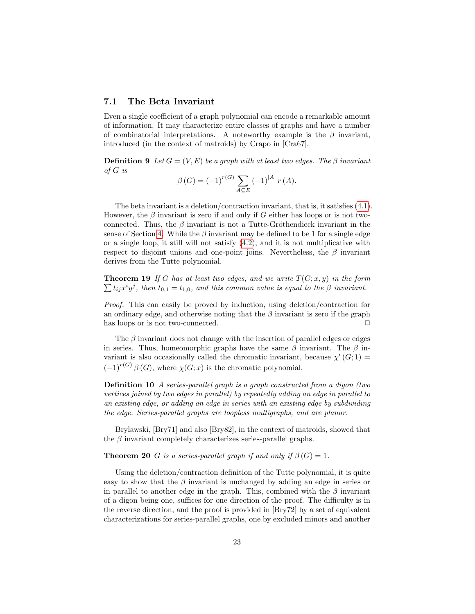#### 7.1 The Beta Invariant

Even a single coefficient of a graph polynomial can encode a remarkable amount of information. It may characterize entire classes of graphs and have a number of combinatorial interpretations. A noteworthy example is the  $\beta$  invariant, introduced (in the context of matroids) by Crapo in [Cra67].

**Definition 9** Let  $G = (V, E)$  be a graph with at least two edges. The  $\beta$  invariant of G is

$$
\beta(G) = (-1)^{r(G)} \sum_{A \subseteq E} (-1)^{|A|} r(A).
$$

The beta invariant is a deletion/contraction invariant, that is, it satisfies [\(4.1\)](#page-6-3). However, the  $\beta$  invariant is zero if and only if G either has loops or is not twoconnected. Thus, the  $\beta$  invariant is not a Tutte-Gröthendieck invariant in the sense of Section [4.](#page-6-0) While the  $\beta$  invariant may be defined to be 1 for a single edge or a single loop, it still will not satisfy  $(4.2)$ , and it is not multiplicative with respect to disjoint unions and one-point joins. Nevertheless, the  $\beta$  invariant derives from the Tutte polynomial.

**Theorem 19** If G has at least two edges, and we write  $T(G; x, y)$  in the form  $\sum t_{ij}x^iy^j$ , then  $t_{0,1}=t_{1,0}$ , and this common value is equal to the  $\beta$  invariant.

Proof. This can easily be proved by induction, using deletion/contraction for an ordinary edge, and otherwise noting that the  $\beta$  invariant is zero if the graph has loops or is not two-connected.  $\Box$ 

The  $\beta$  invariant does not change with the insertion of parallel edges or edges in series. Thus, homeomorphic graphs have the same  $\beta$  invariant. The  $\beta$  invariant is also occasionally called the chromatic invariant, because  $\chi'(G; 1) =$  $(-1)^{r(G)} \beta(G)$ , where  $\chi(G; x)$  is the chromatic polynomial.

Definition 10 A series-parallel graph is a graph constructed from a digon (two vertices joined by two edges in parallel) by repeatedly adding an edge in parallel to an existing edge, or adding an edge in series with an existing edge by subdividing the edge. Series-parallel graphs are loopless multigraphs, and are planar.

Brylawski, [Bry71] and also [Bry82], in the context of matroids, showed that the  $\beta$  invariant completely characterizes series-parallel graphs.

**Theorem 20** G is a series-parallel graph if and only if  $\beta(G) = 1$ .

Using the deletion/contraction definition of the Tutte polynomial, it is quite easy to show that the  $\beta$  invariant is unchanged by adding an edge in series or in parallel to another edge in the graph. This, combined with the  $\beta$  invariant of a digon being one, suffices for one direction of the proof. The difficulty is in the reverse direction, and the proof is provided in [Bry72] by a set of equivalent characterizations for series-parallel graphs, one by excluded minors and another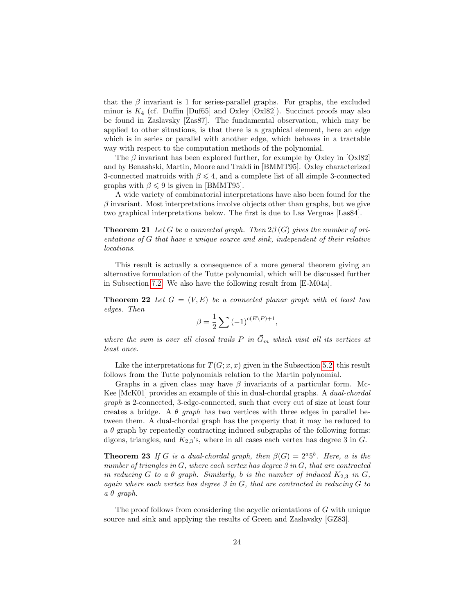that the  $\beta$  invariant is 1 for series-parallel graphs. For graphs, the excluded minor is  $K_4$  (cf. Duffin [Duf65] and Oxley [Oxl82]). Succinct proofs may also be found in Zaslavsky [Zas87]. The fundamental observation, which may be applied to other situations, is that there is a graphical element, here an edge which is in series or parallel with another edge, which behaves in a tractable way with respect to the computation methods of the polynomial.

The  $\beta$  invariant has been explored further, for example by Oxley in [Oxl82] and by Benashski, Martin, Moore and Traldi in [BMMT95]. Oxley characterized 3-connected matroids with  $\beta \leq 4$ , and a complete list of all simple 3-connected graphs with  $\beta \leq 9$  is given in [BMMT95].

A wide variety of combinatorial interpretations have also been found for the  $\beta$  invariant. Most interpretations involve objects other than graphs, but we give two graphical interpretations below. The first is due to Las Vergnas [Las84].

**Theorem 21** Let G be a connected graph. Then  $2\beta(G)$  gives the number of orientations of G that have a unique source and sink, independent of their relative locations.

This result is actually a consequence of a more general theorem giving an alternative formulation of the Tutte polynomial, which will be discussed further in Subsection [7.2.](#page-24-0) We also have the following result from [E-M04a].

**Theorem 22** Let  $G = (V, E)$  be a connected planar graph with at least two edges. Then

$$
\beta = \frac{1}{2} \sum_{\alpha} (-1)^{c(E \setminus P) + 1},
$$

where the sum is over all closed trails P in  $\vec{G}_m$  which visit all its vertices at least once.

Like the interpretations for  $T(G; x, x)$  given in the Subsection [5.2,](#page-9-1) this result follows from the Tutte polynomials relation to the Martin polynomial.

Graphs in a given class may have  $\beta$  invariants of a particular form. Mc-Kee [McK01] provides an example of this in dual-chordal graphs. A dual-chordal graph is 2-connected, 3-edge-connected, such that every cut of size at least four creates a bridge. A  $\theta$  graph has two vertices with three edges in parallel between them. A dual-chordal graph has the property that it may be reduced to a  $\theta$  graph by repeatedly contracting induced subgraphs of the following forms: digons, triangles, and  $K_{2,3}$ 's, where in all cases each vertex has degree 3 in  $G$ .

**Theorem 23** If G is a dual-chordal graph, then  $\beta(G) = 2^a 5^b$ . Here, a is the number of triangles in  $G$ , where each vertex has degree  $3$  in  $G$ , that are contracted in reducing G to a  $\theta$  graph. Similarly, b is the number of induced  $K_{2,3}$  in G, again where each vertex has degree  $3$  in  $G$ , that are contracted in reducing  $G$  to  $a \theta$  graph.

The proof follows from considering the acyclic orientations of G with unique source and sink and applying the results of Green and Zaslavsky [GZ83].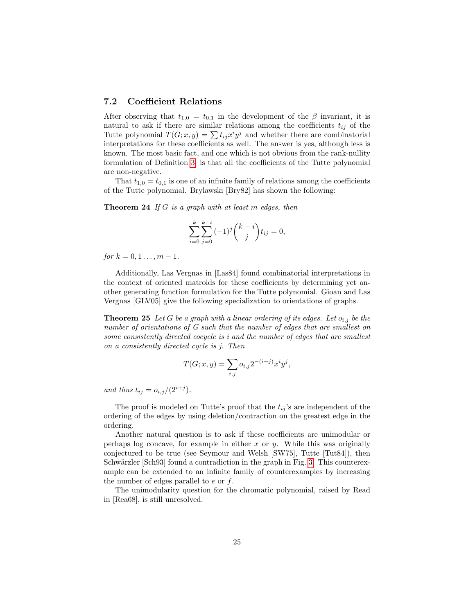## <span id="page-24-0"></span>7.2 Coefficient Relations

After observing that  $t_{1,0} = t_{0,1}$  in the development of the  $\beta$  invariant, it is natural to ask if there are similar relations among the coefficients  $t_{ij}$  of the Tutte polynomial  $T(G; x, y) = \sum t_{ij} x^i y^j$  and whether there are combinatorial interpretations for these coefficients as well. The answer is yes, although less is known. The most basic fact, and one which is not obvious from the rank-nullity formulation of Definition [3,](#page-5-1) is that all the coefficients of the Tutte polynomial are non-negative.

That  $t_{1,0} = t_{0,1}$  is one of an infinite family of relations among the coefficients of the Tutte polynomial. Brylawski [Bry82] has shown the following:

<span id="page-24-1"></span>**Theorem 24** If G is a graph with at least m edges, then

$$
\sum_{i=0}^{k} \sum_{j=0}^{k-i} (-1)^j {k-i \choose j} t_{ij} = 0,
$$

for  $k = 0, 1, ..., m - 1$ .

Additionally, Las Vergnas in [Las84] found combinatorial interpretations in the context of oriented matroids for these coefficients by determining yet another generating function formulation for the Tutte polynomial. Gioan and Las Vergnas [GLV05] give the following specialization to orientations of graphs.

**Theorem 25** Let G be a graph with a linear ordering of its edges. Let  $o_{i,j}$  be the number of orientations of G such that the number of edges that are smallest on some consistently directed cocycle is i and the number of edges that are smallest on a consistently directed cycle is j. Then

$$
T(G; x, y) = \sum_{i,j} o_{i,j} 2^{-(i+j)} x^i y^j,
$$

and thus  $t_{ij} = o_{i,j}/(2^{i+j}).$ 

The proof is modeled on Tutte's proof that the  $t_{ij}$ 's are independent of the ordering of the edges by using deletion/contraction on the greatest edge in the ordering.

Another natural question is to ask if these coefficients are unimodular or perhaps log concave, for example in either  $x$  or  $y$ . While this was originally conjectured to be true (see Seymour and Welsh [SW75], Tutte [Tut84]), then Schwärzler [Sch93] found a contradiction in the graph in Fig. [3.](#page-25-0) This counterexample can be extended to an infinite family of counterexamples by increasing the number of edges parallel to  $e$  or  $f$ .

The unimodularity question for the chromatic polynomial, raised by Read in [Rea68], is still unresolved.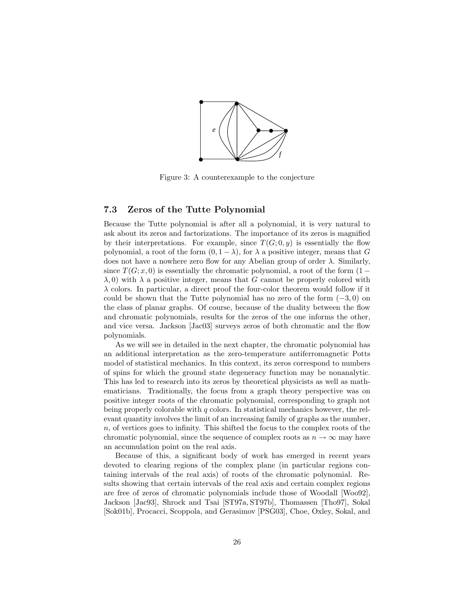

<span id="page-25-0"></span>Figure 3: A counterexample to the conjecture

## 7.3 Zeros of the Tutte Polynomial

Because the Tutte polynomial is after all a polynomial, it is very natural to ask about its zeros and factorizations. The importance of its zeros is magnified by their interpretations. For example, since  $T(G; 0, y)$  is essentially the flow polynomial, a root of the form  $(0, 1 - \lambda)$ , for  $\lambda$  a positive integer, means that G does not have a nowhere zero flow for any Abelian group of order  $\lambda$ . Similarly, since  $T(G; x, 0)$  is essentially the chromatic polynomial, a root of the form  $(1 \lambda$ , 0) with  $\lambda$  a positive integer, means that G cannot be properly colored with  $\lambda$  colors. In particular, a direct proof the four-color theorem would follow if it could be shown that the Tutte polynomial has no zero of the form  $(-3, 0)$  on the class of planar graphs. Of course, because of the duality between the flow and chromatic polynomials, results for the zeros of the one informs the other, and vice versa. Jackson [Jac03] surveys zeros of both chromatic and the flow polynomials.

As we will see in detailed in the next chapter, the chromatic polynomial has an additional interpretation as the zero-temperature antiferromagnetic Potts model of statistical mechanics. In this context, its zeros correspond to numbers of spins for which the ground state degeneracy function may be nonanalytic. This has led to research into its zeros by theoretical physicists as well as mathematicians. Traditionally, the focus from a graph theory perspective was on positive integer roots of the chromatic polynomial, corresponding to graph not being properly colorable with  $q$  colors. In statistical mechanics however, the relevant quantity involves the limit of an increasing family of graphs as the number, n, of vertices goes to infinity. This shifted the focus to the complex roots of the chromatic polynomial, since the sequence of complex roots as  $n \to \infty$  may have an accumulation point on the real axis.

Because of this, a significant body of work has emerged in recent years devoted to clearing regions of the complex plane (in particular regions containing intervals of the real axis) of roots of the chromatic polynomial. Results showing that certain intervals of the real axis and certain complex regions are free of zeros of chromatic polynomials include those of Woodall [Woo92], Jackson [Jac93], Shrock and Tsai [ST97a, ST97b], Thomassen [Tho97], Sokal [Sok01b], Procacci, Scoppola, and Gerasimov [PSG03], Choe, Oxley, Sokal, and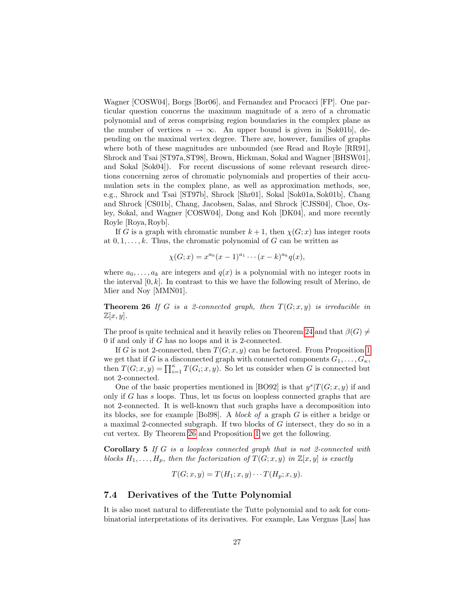Wagner [COSW04], Borgs [Bor06], and Fernandez and Procacci [FP]. One particular question concerns the maximum magnitude of a zero of a chromatic polynomial and of zeros comprising region boundaries in the complex plane as the number of vertices  $n \to \infty$ . An upper bound is given in [Sok01b], depending on the maximal vertex degree. There are, however, families of graphs where both of these magnitudes are unbounded (see Read and Royle [RR91], Shrock and Tsai [ST97a,ST98], Brown, Hickman, Sokal and Wagner [BHSW01], and Sokal [Sok04]). For recent discussions of some relevant research directions concerning zeros of chromatic polynomials and properties of their accumulation sets in the complex plane, as well as approximation methods, see, e.g., Shrock and Tsai [ST97b], Shrock [Shr01], Sokal [Sok01a, Sok01b], Chang and Shrock [CS01b], Chang, Jacobsen, Salas, and Shrock [CJSS04], Choe, Oxley, Sokal, and Wagner [COSW04], Dong and Koh [DK04], and more recently Royle [Roya, Royb].

If G is a graph with chromatic number  $k + 1$ , then  $\chi(G; x)$  has integer roots at  $0, 1, \ldots, k$ . Thus, the chromatic polynomial of G can be written as

$$
\chi(G; x) = x^{a_0}(x-1)^{a_1} \cdots (x-k)^{a_k} q(x),
$$

where  $a_0, \ldots, a_k$  are integers and  $q(x)$  is a polynomial with no integer roots in the interval  $[0, k]$ . In contrast to this we have the following result of Merino, de Mier and Noy [MMN01].

<span id="page-26-0"></span>**Theorem 26** If G is a 2-connected graph, then  $T(G; x, y)$  is irreducible in  $\mathbb{Z}[x,y].$ 

The proof is quite technical and it heavily relies on Theorem [24](#page-24-1) and that  $\beta(G) \neq$ 0 if and only if G has no loops and it is 2-connected.

If G is not 2-connected, then  $T(G; x, y)$  can be factored. From Proposition [1](#page-4-4) we get that if G is a disconnected graph with connected components  $G_1, \ldots, G_{\kappa}$ , then  $T(G; x, y) = \prod_{i=1}^{\kappa} T(G_i; x, y)$ . So let us consider when G is connected but not 2-connected.

One of the basic properties mentioned in [BO92] is that  $y^{s}|T(G; x, y)$  if and only if G has s loops. Thus, let us focus on loopless connected graphs that are not 2-connected. It is well-known that such graphs have a decomposition into its blocks, see for example [Bol98]. A block of a graph G is either a bridge or a maximal 2-connected subgraph. If two blocks of G intersect, they do so in a cut vertex. By Theorem [26](#page-26-0) and Proposition [1](#page-4-4) we get the following.

Corollary 5 If G is a loopless connected graph that is not 2-connected with blocks  $H_1, \ldots, H_p$ , then the factorization of  $T(G; x, y)$  in  $\mathbb{Z}[x, y]$  is exactly

$$
T(G; x, y) = T(H_1; x, y) \cdots T(H_p; x, y).
$$

### 7.4 Derivatives of the Tutte Polynomial

It is also most natural to differentiate the Tutte polynomial and to ask for combinatorial interpretations of its derivatives. For example, Las Vergnas [Las] has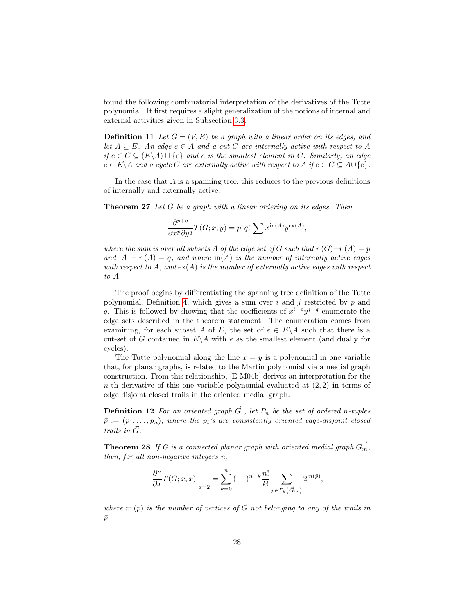found the following combinatorial interpretation of the derivatives of the Tutte polynomial. It first requires a slight generalization of the notions of internal and external activities given in Subsection [3.3.](#page-5-0)

**Definition 11** Let  $G = (V, E)$  be a graph with a linear order on its edges, and let  $A \subseteq E$ . An edge  $e \in A$  and a cut C are internally active with respect to A if  $e \in C \subseteq (E \backslash A) \cup \{e\}$  and e is the smallest element in C. Similarly, an edge  $e \in E \backslash A$  and a cycle C are externally active with respect to A if  $e \in C \subseteq A \cup \{e\}.$ 

In the case that  $A$  is a spanning tree, this reduces to the previous definitions of internally and externally active.

**Theorem 27** Let  $G$  be a graph with a linear ordering on its edges. Then

$$
\frac{\partial^{p+q}}{\partial x^p \partial y^q} T(G; x, y) = p! \, q! \, \sum x^{\text{in}(A)} y^{\text{ex}(A)},
$$

where the sum is over all subsets A of the edge set of G such that  $r(G)-r(A)=p$ and  $|A| - r(A) = q$ , and where  $\text{in}(A)$  is the number of internally active edges with respect to A, and  $ex(A)$  is the number of externally active edges with respect to A.

The proof begins by differentiating the spanning tree definition of the Tutte polynomial, Definition [4,](#page-6-1) which gives a sum over  $i$  and  $j$  restricted by  $p$  and q. This is followed by showing that the coefficients of  $x^{i-p}y^{j-q}$  enumerate the edge sets described in the theorem statement. The enumeration comes from examining, for each subset A of E, the set of  $e \in E \backslash A$  such that there is a cut-set of G contained in  $E \backslash A$  with e as the smallest element (and dually for cycles).

The Tutte polynomial along the line  $x = y$  is a polynomial in one variable that, for planar graphs, is related to the Martin polynomial via a medial graph construction. From this relationship, [E-M04b] derives an interpretation for the n-th derivative of this one variable polynomial evaluated at  $(2, 2)$  in terms of edge disjoint closed trails in the oriented medial graph.

**Definition 12** For an oriented graph  $\vec{G}$  , let  $P_n$  be the set of ordered n-tuples  $\bar{p} := (p_1, \ldots, p_n)$ , where the  $p_i$ 's are consistently oriented edge-disjoint closed trails in  $\vec{G}$ .

**Theorem 28** If G is a connected planar graph with oriented medial graph  $\overrightarrow{G_m}$ , then, for all non-negative integers n,

$$
\frac{\partial^n}{\partial x}T(G; x, x)\bigg|_{x=2} = \sum_{k=0}^n (-1)^{n-k} \frac{n!}{k!} \sum_{\bar{p}\in P_k(\vec{G}_m)} 2^{m(\bar{p})},
$$

where  $m(\bar{p})$  is the number of vertices of  $\vec{G}$  not belonging to any of the trails in  $\bar{p}$ .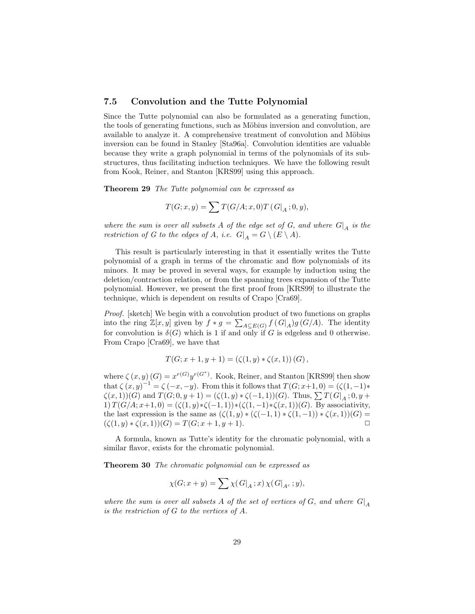#### 7.5 Convolution and the Tutte Polynomial

Since the Tutte polynomial can also be formulated as a generating function, the tools of generating functions, such as Möbius inversion and convolution, are available to analyze it. A comprehensive treatment of convolution and Möbius inversion can be found in Stanley [Sta96a]. Convolution identities are valuable because they write a graph polynomial in terms of the polynomials of its substructures, thus facilitating induction techniques. We have the following result from Kook, Reiner, and Stanton [KRS99] using this approach.

Theorem 29 The Tutte polynomial can be expressed as

$$
T(G; x, y) = \sum T(G/A; x, 0) T(G|_A; 0, y),
$$

where the sum is over all subsets A of the edge set of G, and where  $G|_A$  is the restriction of G to the edges of A, i.e.  $G|_A = G \setminus (E \setminus A)$ .

This result is particularly interesting in that it essentially writes the Tutte polynomial of a graph in terms of the chromatic and flow polynomials of its minors. It may be proved in several ways, for example by induction using the deletion/contraction relation, or from the spanning trees expansion of the Tutte polynomial. However, we present the first proof from [KRS99] to illustrate the technique, which is dependent on results of Crapo [Cra69].

Proof. [sketch] We begin with a convolution product of two functions on graphs into the ring  $\mathbb{Z}[x,y]$  given by  $f * g = \sum_{A \subseteq E(G)} f(G|_A)g(G/A)$ . The identity for convolution is  $\delta(G)$  which is 1 if and only if G is edgeless and 0 otherwise. From Crapo [Cra69], we have that

$$
T(G; x + 1, y + 1) = (\zeta(1, y) * \zeta(x, 1)) (G),
$$

where  $\zeta(x, y)(G) = x^{r(G)}y^{r(G^*)}$ . Kook, Reiner, and Stanton [KRS99] then show that  $\zeta(x,y)^{-1} = \zeta(-x,-y)$ . From this it follows that  $T(G; x+1,0) = (\zeta(1,-1)*$  $\zeta(x,1)(G)$  and  $T(G; 0, y+1) = (\zeta(1,y) * \zeta(-1,1))(G)$ . Thus,  $\sum T(G|_A; 0, y+1)$ 1)  $T(G/A; x+1, 0) = (\zeta(1, y) * \zeta(-1, 1)) * (\zeta(1, -1) * \zeta(x, 1))(G)$ . By associativity, the last expression is the same as  $(\zeta(1,y) * (\zeta(-1,1) * \zeta(1,-1)) * \zeta(x,1))(G) =$  $(\zeta(1,y)*\zeta(x,1))(G) = T(G; x+1, y+1).$ 

A formula, known as Tutte's identity for the chromatic polynomial, with a similar flavor, exists for the chromatic polynomial.

Theorem 30 The chromatic polynomial can be expressed as

$$
\chi(G; x+y) = \sum \chi(G|_A; x) \chi(G|_{A^c}; y),
$$

where the sum is over all subsets A of the set of vertices of G, and where  $G|_A$ is the restriction of  $G$  to the vertices of  $A$ .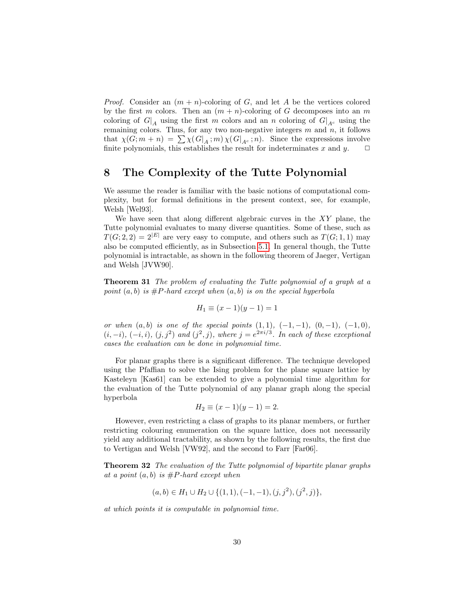*Proof.* Consider an  $(m + n)$ -coloring of G, and let A be the vertices colored by the first m colors. Then an  $(m + n)$ -coloring of G decomposes into an m coloring of  $G|_A$  using the first m colors and an n coloring of  $G|_{A^c}$  using the remaining colors. Thus, for any two non-negative integers  $m$  and  $n$ , it follows that  $\chi(G; m+n) = \sum \chi(G|_A; m) \chi(G|_{A^c}; n)$ . Since the expressions involve<br>finite polynomials this establishes the result for indeterminates x and y finite polynomials, this establishes the result for indeterminates  $x$  and  $y$ .

# <span id="page-29-0"></span>8 The Complexity of the Tutte Polynomial

We assume the reader is familiar with the basic notions of computational complexity, but for formal definitions in the present context, see, for example, Welsh [Wel93].

We have seen that along different algebraic curves in the  $XY$  plane, the Tutte polynomial evaluates to many diverse quantities. Some of these, such as  $T(G; 2, 2) = 2^{|E|}$  are very easy to compute, and others such as  $T(G; 1, 1)$  may also be computed efficiently, as in Subsection [5.1.](#page-8-2) In general though, the Tutte polynomial is intractable, as shown in the following theorem of Jaeger, Vertigan and Welsh [JVW90].

**Theorem 31** The problem of evaluating the Tutte polynomial of a graph at a point  $(a, b)$  is #P-hard except when  $(a, b)$  is on the special hyperbola

$$
H_1 \equiv (x - 1)(y - 1) = 1
$$

or when  $(a, b)$  is one of the special points  $(1, 1), (-1, -1), (0, -1), (-1, 0),$  $(i, -i), (-i, i), (j, j<sup>2</sup>)$  and  $(j<sup>2</sup>, j),$  where  $j = e<sup>2\pi i/3</sup>$ . In each of these exceptional cases the evaluation can be done in polynomial time.

For planar graphs there is a significant difference. The technique developed using the Pfaffian to solve the Ising problem for the plane square lattice by Kasteleyn [Kas61] can be extended to give a polynomial time algorithm for the evaluation of the Tutte polynomial of any planar graph along the special hyperbola

$$
H_2 \equiv (x - 1)(y - 1) = 2.
$$

However, even restricting a class of graphs to its planar members, or further restricting colouring enumeration on the square lattice, does not necessarily yield any additional tractability, as shown by the following results, the first due to Vertigan and Welsh [VW92], and the second to Farr [Far06].

**Theorem 32** The evaluation of the Tutte polynomial of bipartite planar graphs at a point  $(a, b)$  is  $\#P$ -hard except when

$$
(a, b) \in H_1 \cup H_2 \cup \{(1, 1), (-1, -1), (j, j^2), (j^2, j)\},\
$$

at which points it is computable in polynomial time.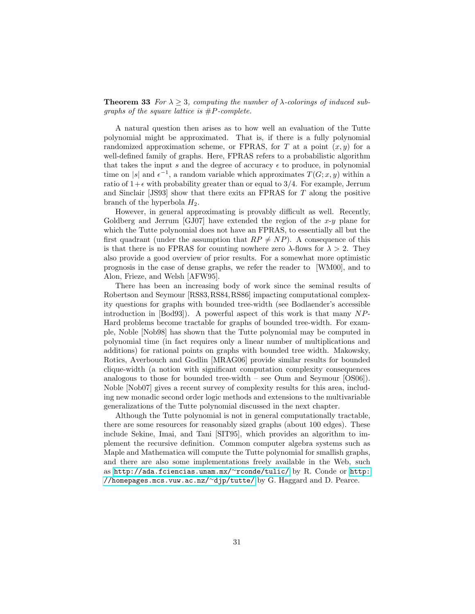**Theorem 33** For  $\lambda \geq 3$ , computing the number of  $\lambda$ -colorings of induced subgraphs of the square lattice is  $#P$ -complete.

A natural question then arises as to how well an evaluation of the Tutte polynomial might be approximated. That is, if there is a fully polynomial randomized approximation scheme, or FPRAS, for T at a point  $(x, y)$  for a well-defined family of graphs. Here, FPRAS refers to a probabilistic algorithm that takes the input s and the degree of accuracy  $\epsilon$  to produce, in polynomial time on |s| and  $\epsilon^{-1}$ , a random variable which approximates  $T(G; x, y)$  within a ratio of  $1+\epsilon$  with probability greater than or equal to 3/4. For example, Jerrum and Sinclair [JS93] show that there exits an FPRAS for T along the positive branch of the hyperbola  $H_2$ .

However, in general approximating is provably difficult as well. Recently, Goldberg and Jerrum [GJ07] have extended the region of the  $x-y$  plane for which the Tutte polynomial does not have an FPRAS, to essentially all but the first quadrant (under the assumption that  $RP \neq NP$ ). A consequence of this is that there is no FPRAS for counting nowhere zero  $\lambda$ -flows for  $\lambda > 2$ . They also provide a good overview of prior results. For a somewhat more optimistic prognosis in the case of dense graphs, we refer the reader to [WM00], and to Alon, Frieze, and Welsh [AFW95].

There has been an increasing body of work since the seminal results of Robertson and Seymour [RS83,RS84,RS86] impacting computational complexity questions for graphs with bounded tree-width (see Bodlaender's accessible introduction in  $[Body3]$ . A powerful aspect of this work is that many  $NP$ -Hard problems become tractable for graphs of bounded tree-width. For example, Noble [Nob98] has shown that the Tutte polynomial may be computed in polynomial time (in fact requires only a linear number of multiplications and additions) for rational points on graphs with bounded tree width. Makowsky, Rotics, Averbouch and Godlin [MRAG06] provide similar results for bounded clique-width (a notion with significant computation complexity consequences analogous to those for bounded tree-width – see Oum and Seymour [OS06]). Noble [Nob07] gives a recent survey of complexity results for this area, including new monadic second order logic methods and extensions to the multivariable generalizations of the Tutte polynomial discussed in the next chapter.

Although the Tutte polynomial is not in general computationally tractable, there are some resources for reasonably sized graphs (about 100 edges). These include Sekine, Imai, and Tani [SIT95], which provides an algorithm to implement the recursive definition. Common computer algebra systems such as Maple and Mathematica will compute the Tutte polynomial for smallish graphs, and there are also some implementations freely available in the Web, such as [http://ada.fciencias.unam.mx/](http://ada.fciencias.unam.mx/~rconde/tulic/)<sup>∼</sup>rconde/tulic/ by R. Conde or [http:](http://homepages.mcs.vuw.ac.nz/~djp/tutte/) [//homepages.mcs.vuw.ac.nz/](http://homepages.mcs.vuw.ac.nz/~djp/tutte/)<sup>∼</sup>djp/tutte/ by G. Haggard and D. Pearce.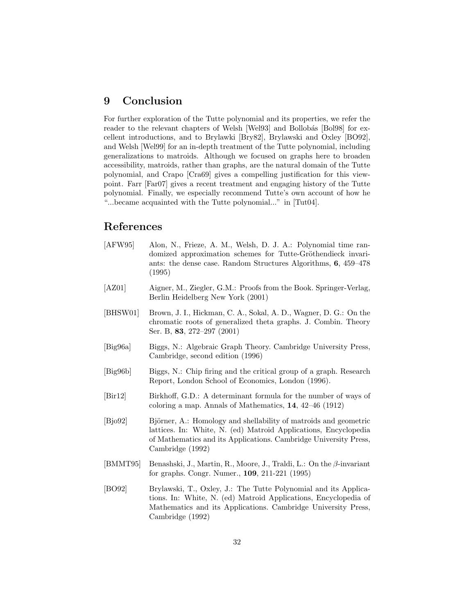## 9 Conclusion

For further exploration of the Tutte polynomial and its properties, we refer the reader to the relevant chapters of Welsh [Wel93] and Bollobás [Bol98] for excellent introductions, and to Brylawki [Bry82], Brylawski and Oxley [BO92], and Welsh [Wel99] for an in-depth treatment of the Tutte polynomial, including generalizations to matroids. Although we focused on graphs here to broaden accessibility, matroids, rather than graphs, are the natural domain of the Tutte polynomial, and Crapo [Cra69] gives a compelling justification for this viewpoint. Farr [Far07] gives a recent treatment and engaging history of the Tutte polynomial. Finally, we especially recommend Tutte's own account of how he "...became acquainted with the Tutte polynomial..." in [Tut04].

# References

- [AFW95] Alon, N., Frieze, A. M., Welsh, D. J. A.: Polynomial time randomized approximation schemes for Tutte-Gröthendieck invariants: the dense case. Random Structures Algorithms, 6, 459–478 (1995)
- [AZ01] Aigner, M., Ziegler, G.M.: Proofs from the Book. Springer-Verlag, Berlin Heidelberg New York (2001)
- [BHSW01] Brown, J. I., Hickman, C. A., Sokal, A. D., Wagner, D. G.: On the chromatic roots of generalized theta graphs. J. Combin. Theory Ser. B, 83, 272–297 (2001)
- [Big96a] Biggs, N.: Algebraic Graph Theory. Cambridge University Press, Cambridge, second edition (1996)
- [Big96b] Biggs, N.: Chip firing and the critical group of a graph. Research Report, London School of Economics, London (1996).
- [Bir12] Birkhoff, G.D.: A determinant formula for the number of ways of coloring a map. Annals of Mathematics, 14, 42–46 (1912)
- [Bjo92] Björner, A.: Homology and shellability of matroids and geometric lattices. In: White, N. (ed) Matroid Applications, Encyclopedia of Mathematics and its Applications. Cambridge University Press, Cambridge (1992)
- [BMMT95] Benashski, J., Martin, R., Moore, J., Traldi, L.: On the β-invariant for graphs. Congr. Numer., 109, 211-221 (1995)
- [BO92] Brylawski, T., Oxley, J.: The Tutte Polynomial and its Applications. In: White, N. (ed) Matroid Applications, Encyclopedia of Mathematics and its Applications. Cambridge University Press, Cambridge (1992)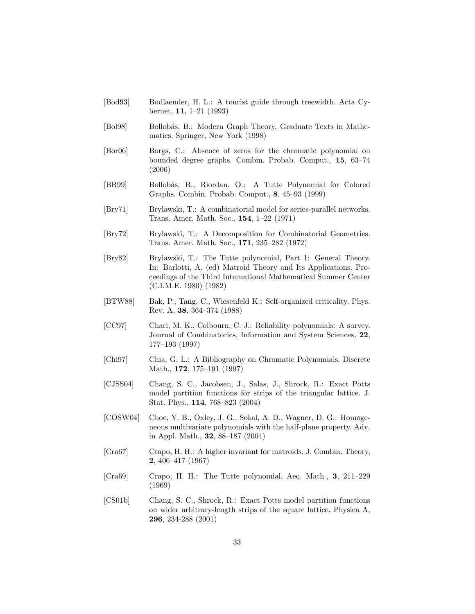- [Bod93] Bodlaender, H. L.: A tourist guide through treewidth. Acta Cybernet, 11, 1–21 (1993)
- [Bol98] Bollobás, B.: Modern Graph Theory, Graduate Texts in Mathematics. Springer, New York (1998)
- [Bor06] Borgs, C.: Absence of zeros for the chromatic polynomial on bounded degree graphs. Combin. Probab. Comput., 15, 63–74 (2006)
- [BR99] Bollobás, B., Riordan, O.: A Tutte Polynomial for Colored Graphs. Combin. Probab. Comput., 8, 45–93 (1999)
- [Bry71] Brylawski, T.: A combinatorial model for series-parallel networks. Trans. Amer. Math. Soc., 154, 1–22 (1971)
- [Bry72] Brylawski, T.: A Decomposition for Combinatorial Geometries. Trans. Amer. Math. Soc., 171, 235–282 (1972)
- [Bry82] Brylawski, T.: The Tutte polynomial, Part 1: General Theory. In: Barlotti, A. (ed) Matroid Theory and Its Applications. Proceedings of the Third International Mathematical Summer Center (C.I.M.E. 1980) (1982)
- [BTW88] Bak, P., Tang, C., Wiesenfeld K.: Self-organized criticality. Phys. Rev. A, 38, 364–374 (1988)
- [CC97] Chari, M. K., Colbourn, C. J.: Reliability polynomials: A survey. Journal of Combinatorics, Information and System Sciences, 22, 177–193 (1997)
- [Chi97] Chia, G. L.: A Bibliography on Chromatic Polynomials. Discrete Math., 172, 175–191 (1997)
- [CJSS04] Chang, S. C., Jacobsen, J., Salas, J., Shrock, R.: Exact Potts model partition functions for strips of the triangular lattice. J. Stat. Phys., 114, 768–823 (2004)
- [COSW04] Choe, Y. B., Oxley, J. G., Sokal, A. D., Wagner, D. G.: Homogeneous multivariate polynomials with the half-plane property. Adv. in Appl. Math., 32, 88–187 (2004)
- [Cra67] Crapo, H. H.: A higher invariant for matroids. J. Combin. Theory, 2, 406–417 (1967)
- [Cra69] Crapo, H. H.: The Tutte polynomial. Aeq. Math., 3, 211–229 (1969)
- [CS01b] Chang, S. C., Shrock, R.: Exact Potts model partition functions on wider arbitrary-length strips of the square lattice. Physica A, 296, 234-288 (2001)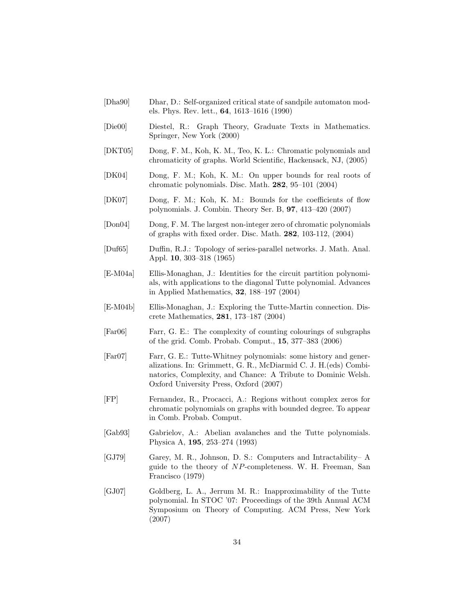- [Dha90] Dhar, D.: Self-organized critical state of sandpile automaton models. Phys. Rev. lett., 64, 1613–1616 (1990)
- [Die00] Diestel, R.: Graph Theory, Graduate Texts in Mathematics. Springer, New York (2000)
- [DKT05] Dong, F. M., Koh, K. M., Teo, K. L.: Chromatic polynomials and chromaticity of graphs. World Scientific, Hackensack, NJ, (2005)
- [DK04] Dong, F. M.; Koh, K. M.: On upper bounds for real roots of chromatic polynomials. Disc. Math. 282, 95–101 (2004)
- [DK07] Dong, F. M.; Koh, K. M.: Bounds for the coefficients of flow polynomials. J. Combin. Theory Ser. B, 97, 413–420 (2007)
- [Don04] Dong, F. M. The largest non-integer zero of chromatic polynomials of graphs with fixed order. Disc. Math. 282, 103-112, (2004)
- [Duf65] Duffin, R.J.: Topology of series-parallel networks. J. Math. Anal. Appl. 10, 303–318 (1965)
- [E-M04a] Ellis-Monaghan, J.: Identities for the circuit partition polynomials, with applications to the diagonal Tutte polynomial. Advances in Applied Mathematics, 32, 188–197 (2004)
- [E-M04b] Ellis-Monaghan, J.: Exploring the Tutte-Martin connection. Discrete Mathematics, 281, 173–187 (2004)
- [Far06] Farr, G. E.: The complexity of counting colourings of subgraphs of the grid. Comb. Probab. Comput., 15, 377–383 (2006)
- [Far07] Farr, G. E.: Tutte-Whitney polynomials: some history and generalizations. In: Grimmett, G. R., McDiarmid C. J. H.(eds) Combinatorics, Complexity, and Chance: A Tribute to Dominic Welsh. Oxford University Press, Oxford (2007)
- [FP] Fernandez, R., Procacci, A.: Regions without complex zeros for chromatic polynomials on graphs with bounded degree. To appear in Comb. Probab. Comput.
- [Gab93] Gabrielov, A.: Abelian avalanches and the Tutte polynomials. Physica A, 195, 253–274 (1993)
- [GJ79] Garey, M. R., Johnson, D. S.: Computers and Intractability– A guide to the theory of NP-completeness. W. H. Freeman, San Francisco (1979)
- [GJ07] Goldberg, L. A., Jerrum M. R.: Inapproximability of the Tutte polynomial. In STOC '07: Proceedings of the 39th Annual ACM Symposium on Theory of Computing. ACM Press, New York (2007)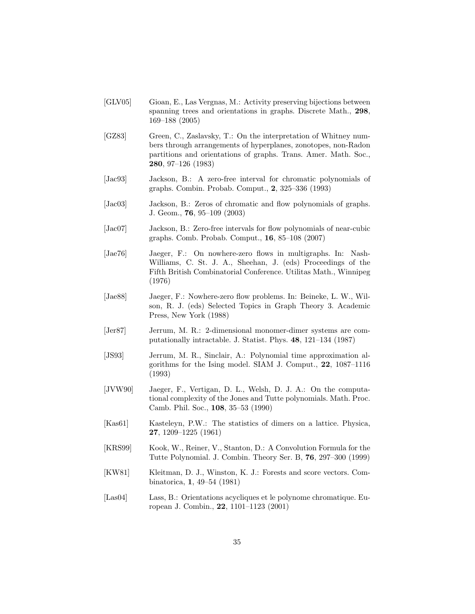- [GLV05] Gioan, E., Las Vergnas, M.: Activity preserving bijections between spanning trees and orientations in graphs. Discrete Math., 298, 169–188 (2005)
- [GZ83] Green, C., Zaslavsky, T.: On the interpretation of Whitney numbers through arrangements of hyperplanes, zonotopes, non-Radon partitions and orientations of graphs. Trans. Amer. Math. Soc., 280, 97–126 (1983)
- [Jac93] Jackson, B.: A zero-free interval for chromatic polynomials of graphs. Combin. Probab. Comput., 2, 325–336 (1993)
- [Jac03] Jackson, B.: Zeros of chromatic and flow polynomials of graphs. J. Geom., 76, 95–109 (2003)
- [Jac07] Jackson, B.: Zero-free intervals for flow polynomials of near-cubic graphs. Comb. Probab. Comput., 16, 85–108 (2007)
- [Jae76] Jaeger, F.: On nowhere-zero flows in multigraphs. In: Nash-Williams, C. St. J. A., Sheehan, J. (eds) Proceedings of the Fifth British Combinatorial Conference. Utilitas Math., Winnipeg (1976)
- [Jae88] Jaeger, F.: Nowhere-zero flow problems. In: Beineke, L. W., Wilson, R. J. (eds) Selected Topics in Graph Theory 3. Academic Press, New York (1988)
- [Jer87] Jerrum, M. R.: 2-dimensional monomer-dimer systems are computationally intractable. J. Statist. Phys. 48, 121–134 (1987)
- [JS93] Jerrum, M. R., Sinclair, A.: Polynomial time approximation algorithms for the Ising model. SIAM J. Comput., 22, 1087–1116 (1993)
- [JVW90] Jaeger, F., Vertigan, D. L., Welsh, D. J. A.: On the computational complexity of the Jones and Tutte polynomials. Math. Proc. Camb. Phil. Soc., 108, 35–53 (1990)
- [Kas61] Kasteleyn, P.W.: The statistics of dimers on a lattice. Physica, 27, 1209–1225 (1961)
- [KRS99] Kook, W., Reiner, V., Stanton, D.: A Convolution Formula for the Tutte Polynomial. J. Combin. Theory Ser. B, 76, 297–300 (1999)
- [KW81] Kleitman, D. J., Winston, K. J.: Forests and score vectors. Combinatorica, 1, 49–54 (1981)
- [Las04] Lass, B.: Orientations acycliques et le polynome chromatique. European J. Combin., 22, 1101–1123 (2001)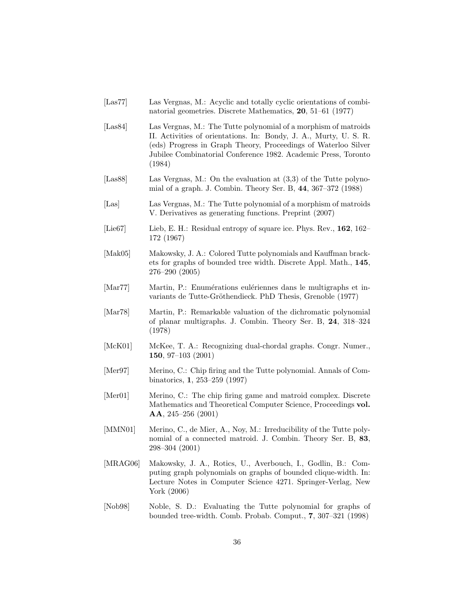- [Las77] Las Vergnas, M.: Acyclic and totally cyclic orientations of combinatorial geometries. Discrete Mathematics, 20, 51–61 (1977)
- [Las84] Las Vergnas, M.: The Tutte polynomial of a morphism of matroids II. Activities of orientations. In: Bondy, J. A., Murty, U. S. R. (eds) Progress in Graph Theory, Proceedings of Waterloo Silver Jubilee Combinatorial Conference 1982. Academic Press, Toronto (1984)
- [Las88] Las Vergnas, M.: On the evaluation at (3,3) of the Tutte polynomial of a graph. J. Combin. Theory Ser. B, 44, 367–372 (1988)
- [Las] Las Vergnas, M.: The Tutte polynomial of a morphism of matroids V. Derivatives as generating functions. Preprint (2007)
- [Lie67] Lieb, E. H.: Residual entropy of square ice. Phys. Rev., 162, 162– 172 (1967)
- [Mak05] Makowsky, J. A.: Colored Tutte polynomials and Kauffman brackets for graphs of bounded tree width. Discrete Appl. Math., 145, 276–290 (2005)
- [Mar77] Martin, P.: Enumérations eulériennes dans le multigraphs et invariants de Tutte-Gröthendieck. PhD Thesis, Grenoble (1977)
- [Mar78] Martin, P.: Remarkable valuation of the dichromatic polynomial of planar multigraphs. J. Combin. Theory Ser. B, 24, 318–324 (1978)
- [McK01] McKee, T. A.: Recognizing dual-chordal graphs. Congr. Numer., 150, 97–103 (2001)
- [Mer97] Merino, C.: Chip firing and the Tutte polynomial. Annals of Combinatorics, 1, 253–259 (1997)
- [Mer01] Merino, C.: The chip firing game and matroid complex. Discrete Mathematics and Theoretical Computer Science, Proceedings vol. AA, 245–256 (2001)
- [MMN01] Merino, C., de Mier, A., Noy, M.: Irreducibility of the Tutte polynomial of a connected matroid. J. Combin. Theory Ser. B, 83, 298–304 (2001)
- [MRAG06] Makowsky, J. A., Rotics, U., Averbouch, I., Godlin, B.: Computing graph polynomials on graphs of bounded clique-width. In: Lecture Notes in Computer Science 4271. Springer-Verlag, New York (2006)
- [Nob98] Noble, S. D.: Evaluating the Tutte polynomial for graphs of bounded tree-width. Comb. Probab. Comput., 7, 307–321 (1998)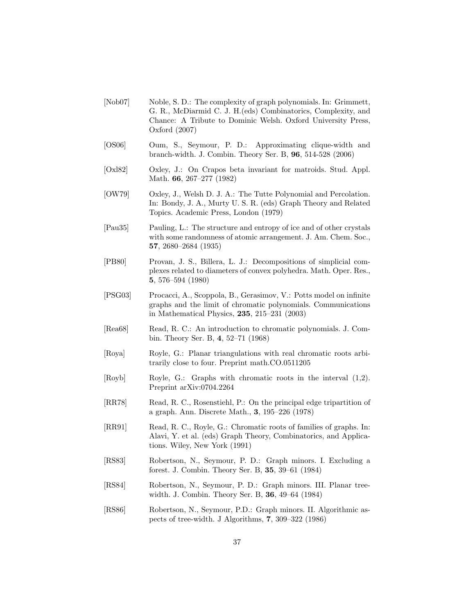- [Nob07] Noble, S. D.: The complexity of graph polynomials. In: Grimmett, G. R., McDiarmid C. J. H.(eds) Combinatorics, Complexity, and Chance: A Tribute to Dominic Welsh. Oxford University Press, Oxford (2007)
- [OS06] Oum, S., Seymour, P. D.: Approximating clique-width and branch-width. J. Combin. Theory Ser. B, 96, 514-528 (2006)
- [Oxl82] Oxley, J.: On Crapos beta invariant for matroids. Stud. Appl. Math. 66, 267–277 (1982)
- [OW79] Oxley, J., Welsh D. J. A.: The Tutte Polynomial and Percolation. In: Bondy, J. A., Murty U. S. R. (eds) Graph Theory and Related Topics. Academic Press, London (1979)
- [Pau35] Pauling, L.: The structure and entropy of ice and of other crystals with some randomness of atomic arrangement. J. Am. Chem. Soc., 57, 2680–2684 (1935)
- [PB80] Provan, J. S., Billera, L. J.: Decompositions of simplicial complexes related to diameters of convex polyhedra. Math. Oper. Res., 5, 576–594 (1980)
- [PSG03] Procacci, A., Scoppola, B., Gerasimov, V.: Potts model on infinite graphs and the limit of chromatic polynomials. Communications in Mathematical Physics, 235, 215–231 (2003)
- [Rea68] Read, R. C.: An introduction to chromatic polynomials. J. Combin. Theory Ser. B, 4, 52–71 (1968)
- [Roya] Royle, G.: Planar triangulations with real chromatic roots arbitrarily close to four. Preprint math.CO.0511205
- [Royb] Royle, G.: Graphs with chromatic roots in the interval (1,2). Preprint arXiv:0704.2264
- [RR78] Read, R. C., Rosenstiehl, P.: On the principal edge tripartition of a graph. Ann. Discrete Math., 3, 195–226 (1978)
- [RR91] Read, R. C., Royle, G.: Chromatic roots of families of graphs. In: Alavi, Y. et al. (eds) Graph Theory, Combinatorics, and Applications. Wiley, New York (1991)
- [RS83] Robertson, N., Seymour, P. D.: Graph minors. I. Excluding a forest. J. Combin. Theory Ser. B, 35, 39–61 (1984)
- [RS84] Robertson, N., Seymour, P. D.: Graph minors. III. Planar treewidth. J. Combin. Theory Ser. B, 36, 49–64 (1984)
- [RS86] Robertson, N., Seymour, P.D.: Graph minors. II. Algorithmic aspects of tree-width. J Algorithms, 7, 309–322 (1986)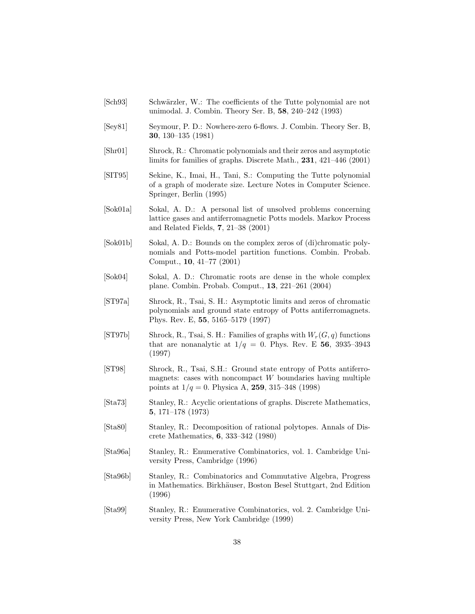- [Sch93] Schwärzler, W.: The coefficients of the Tutte polynomial are not unimodal. J. Combin. Theory Ser. B, 58, 240–242 (1993)
- [Sey81] Seymour, P. D.: Nowhere-zero 6-flows. J. Combin. Theory Ser. B, 30, 130–135 (1981)
- [Shr01] Shrock, R.: Chromatic polynomials and their zeros and asymptotic limits for families of graphs. Discrete Math., 231, 421–446 (2001)
- [SIT95] Sekine, K., Imai, H., Tani, S.: Computing the Tutte polynomial of a graph of moderate size. Lecture Notes in Computer Science. Springer, Berlin (1995)
- [Sok01a] Sokal, A. D.: A personal list of unsolved problems concerning lattice gases and antiferromagnetic Potts models. Markov Process and Related Fields, 7, 21–38 (2001)
- [Sok01b] Sokal, A. D.: Bounds on the complex zeros of (di)chromatic polynomials and Potts-model partition functions. Combin. Probab. Comput., 10, 41–77 (2001)
- [Sok04] Sokal, A. D.: Chromatic roots are dense in the whole complex plane. Combin. Probab. Comput., 13, 221–261 (2004)
- [ST97a] Shrock, R., Tsai, S. H.: Asymptotic limits and zeros of chromatic polynomials and ground state entropy of Potts antiferromagnets. Phys. Rev. E, 55, 5165–5179 (1997)
- [ST97b] Shrock, R., Tsai, S. H.: Families of graphs with  $W_r(G, q)$  functions that are nonanalytic at  $1/q = 0$ . Phys. Rev. E 56, 3935-3943 (1997)
- [ST98] Shrock, R., Tsai, S.H.: Ground state entropy of Potts antiferromagnets: cases with noncompact  $W$  boundaries having multiple points at  $1/q = 0$ . Physica A, 259, 315–348 (1998)
- [Sta73] Stanley, R.: Acyclic orientations of graphs. Discrete Mathematics, 5, 171–178 (1973)
- [Sta80] Stanley, R.: Decomposition of rational polytopes. Annals of Discrete Mathematics, 6, 333–342 (1980)
- [Sta96a] Stanley, R.: Enumerative Combinatorics, vol. 1. Cambridge University Press, Cambridge (1996)
- [Sta96b] Stanley, R.: Combinatorics and Commutative Algebra, Progress in Mathematics. Birkhäuser, Boston Besel Stuttgart, 2nd Edition (1996)
- [Sta99] Stanley, R.: Enumerative Combinatorics, vol. 2. Cambridge University Press, New York Cambridge (1999)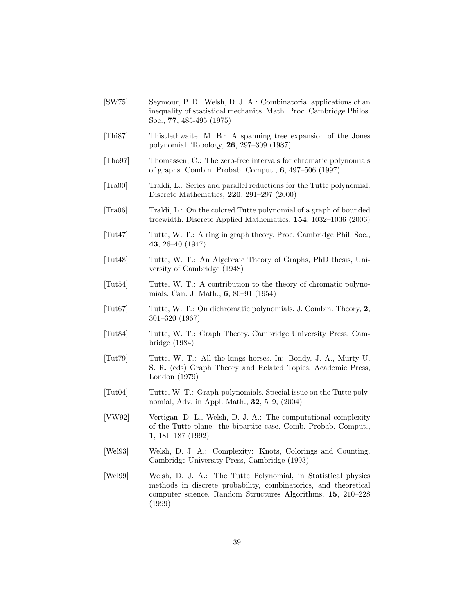- [SW75] Seymour, P. D., Welsh, D. J. A.: Combinatorial applications of an inequality of statistical mechanics. Math. Proc. Cambridge Philos. Soc., 77, 485-495 (1975)
- [Thi87] Thistlethwaite, M. B.: A spanning tree expansion of the Jones polynomial. Topology, 26, 297–309 (1987)
- [Tho97] Thomassen, C.: The zero-free intervals for chromatic polynomials of graphs. Combin. Probab. Comput., 6, 497–506 (1997)
- [Tra00] Traldi, L.: Series and parallel reductions for the Tutte polynomial. Discrete Mathematics, 220, 291–297 (2000)
- [Tra06] Traldi, L.: On the colored Tutte polynomial of a graph of bounded treewidth. Discrete Applied Mathematics, 154, 1032–1036 (2006)
- [Tut47] Tutte, W. T.: A ring in graph theory. Proc. Cambridge Phil. Soc., 43, 26–40 (1947)
- [Tut48] Tutte, W. T.: An Algebraic Theory of Graphs, PhD thesis, University of Cambridge (1948)
- [Tut54] Tutte, W. T.: A contribution to the theory of chromatic polynomials. Can. J. Math., 6, 80–91 (1954)
- [Tut67] Tutte, W. T.: On dichromatic polynomials. J. Combin. Theory, 2, 301–320 (1967)
- [Tut84] Tutte, W. T.: Graph Theory. Cambridge University Press, Cambridge (1984)
- [Tut79] Tutte, W. T.: All the kings horses. In: Bondy, J. A., Murty U. S. R. (eds) Graph Theory and Related Topics. Academic Press, London (1979)
- [Tut04] Tutte, W. T.: Graph-polynomials. Special issue on the Tutte polynomial, Adv. in Appl. Math., 32, 5–9, (2004)
- [VW92] Vertigan, D. L., Welsh, D. J. A.: The computational complexity of the Tutte plane: the bipartite case. Comb. Probab. Comput., 1, 181–187 (1992)
- [Wel93] Welsh, D. J. A.: Complexity: Knots, Colorings and Counting. Cambridge University Press, Cambridge (1993)
- [Wel99] Welsh, D. J. A.: The Tutte Polynomial, in Statistical physics methods in discrete probability, combinatorics, and theoretical computer science. Random Structures Algorithms, 15, 210–228 (1999)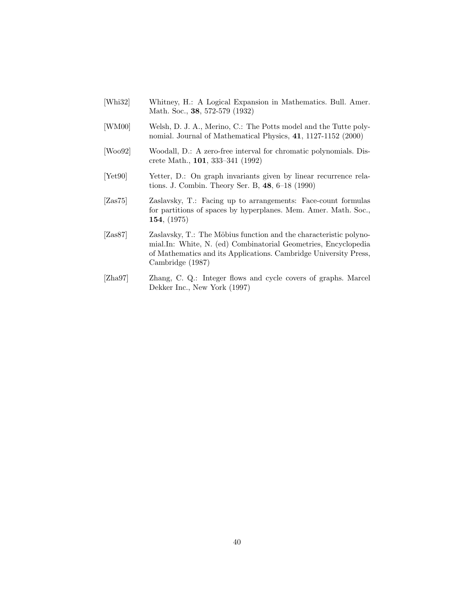- [Whi32] Whitney, H.: A Logical Expansion in Mathematics. Bull. Amer. Math. Soc., 38, 572-579 (1932)
- [WM00] Welsh, D. J. A., Merino, C.: The Potts model and the Tutte polynomial. Journal of Mathematical Physics, 41, 1127-1152 (2000)
- [Woo92] Woodall, D.: A zero-free interval for chromatic polynomials. Discrete Math., 101, 333–341 (1992)
- [Yet90] Yetter, D.: On graph invariants given by linear recurrence relations. J. Combin. Theory Ser. B, 48, 6–18 (1990)
- [Zas75] Zaslavsky, T.: Facing up to arrangements: Face-count formulas for partitions of spaces by hyperplanes. Mem. Amer. Math. Soc., 154, (1975)
- [Zas87] Zaslavsky, T.: The Möbius function and the characteristic polynomial.In: White, N. (ed) Combinatorial Geometries, Encyclopedia of Mathematics and its Applications. Cambridge University Press, Cambridge (1987)
- [Zha97] Zhang, C. Q.: Integer flows and cycle covers of graphs. Marcel Dekker Inc., New York (1997)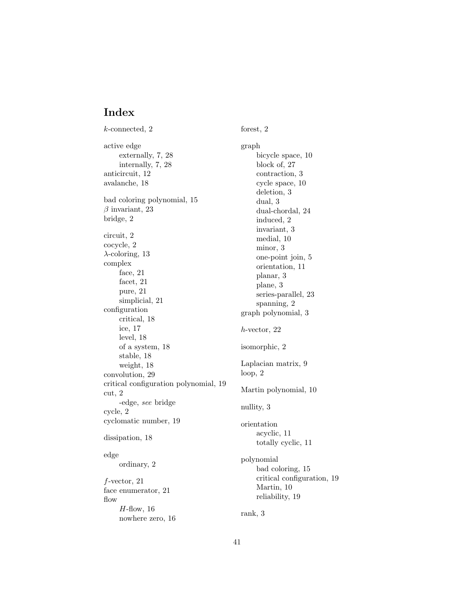# Index

k-connected, 2 active edge externally, 7, 28 internally, 7, 28 anticircuit, 12 avalanche, 18 bad coloring polynomial, 15  $\beta$  invariant, 23 bridge, 2 circuit, 2 cocycle, 2  $\lambda$ -coloring, 13 complex face, 21 facet, 21 pure, 21 simplicial, 21 configuration critical, 18 ice, 17 level, 18 of a system, 18 stable, 18 weight, 18 convolution, 29 critical configuration polynomial, 19 cut, 2 -edge, see bridge cycle, 2 cyclomatic number, 19 dissipation, 18 edge ordinary, 2 f-vector, 21 face enumerator, 21 flow  $H$ -flow, 16 nowhere zero, 16

graph bicycle space, 10 block of, 27 contraction, 3 cycle space, 10 deletion, 3 dual, 3 dual-chordal, 24 induced, 2 invariant, 3 medial, 10 minor, 3 one-point join, 5 orientation, 11 planar, 3 plane, 3 series-parallel, 23 spanning, 2 graph polynomial, 3 h-vector, 22 isomorphic, 2 Laplacian matrix, 9 loop, 2 Martin polynomial, 10 nullity, 3 orientation acyclic, 11 totally cyclic, 11 polynomial bad coloring, 15 critical configuration, 19 Martin, 10 reliability, 19

forest, 2

rank, 3